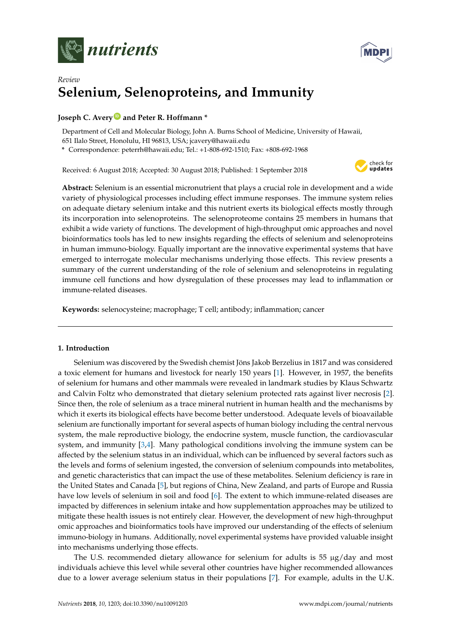



# *Review* **Selenium, Selenoproteins, and Immunity**

# **Joseph C. Avery<sup>1</sup>** and Peter R. Hoffmann \*

Department of Cell and Molecular Biology, John A. Burns School of Medicine, University of Hawaii, 651 Ilalo Street, Honolulu, HI 96813, USA; jcavery@hawaii.edu

**\*** Correspondence: peterrh@hawaii.edu; Tel.: +1-808-692-1510; Fax: +808-692-1968

Received: 6 August 2018; Accepted: 30 August 2018; Published: 1 September 2018



**Abstract:** Selenium is an essential micronutrient that plays a crucial role in development and a wide variety of physiological processes including effect immune responses. The immune system relies on adequate dietary selenium intake and this nutrient exerts its biological effects mostly through its incorporation into selenoproteins. The selenoproteome contains 25 members in humans that exhibit a wide variety of functions. The development of high-throughput omic approaches and novel bioinformatics tools has led to new insights regarding the effects of selenium and selenoproteins in human immuno-biology. Equally important are the innovative experimental systems that have emerged to interrogate molecular mechanisms underlying those effects. This review presents a summary of the current understanding of the role of selenium and selenoproteins in regulating immune cell functions and how dysregulation of these processes may lead to inflammation or immune-related diseases.

**Keywords:** selenocysteine; macrophage; T cell; antibody; inflammation; cancer

# **1. Introduction**

Selenium was discovered by the Swedish chemist Jöns Jakob Berzelius in 1817 and was considered a toxic element for humans and livestock for nearly 150 years [\[1\]](#page-10-0). However, in 1957, the benefits of selenium for humans and other mammals were revealed in landmark studies by Klaus Schwartz and Calvin Foltz who demonstrated that dietary selenium protected rats against liver necrosis [\[2\]](#page-10-1). Since then, the role of selenium as a trace mineral nutrient in human health and the mechanisms by which it exerts its biological effects have become better understood. Adequate levels of bioavailable selenium are functionally important for several aspects of human biology including the central nervous system, the male reproductive biology, the endocrine system, muscle function, the cardiovascular system, and immunity [\[3,](#page-10-2)[4\]](#page-10-3). Many pathological conditions involving the immune system can be affected by the selenium status in an individual, which can be influenced by several factors such as the levels and forms of selenium ingested, the conversion of selenium compounds into metabolites, and genetic characteristics that can impact the use of these metabolites. Selenium deficiency is rare in the United States and Canada [\[5\]](#page-10-4), but regions of China, New Zealand, and parts of Europe and Russia have low levels of selenium in soil and food [\[6\]](#page-10-5). The extent to which immune-related diseases are impacted by differences in selenium intake and how supplementation approaches may be utilized to mitigate these health issues is not entirely clear. However, the development of new high-throughput omic approaches and bioinformatics tools have improved our understanding of the effects of selenium immuno-biology in humans. Additionally, novel experimental systems have provided valuable insight into mechanisms underlying those effects.

The U.S. recommended dietary allowance for selenium for adults is 55 µg/day and most individuals achieve this level while several other countries have higher recommended allowances due to a lower average selenium status in their populations [\[7\]](#page-10-6). For example, adults in the U.K.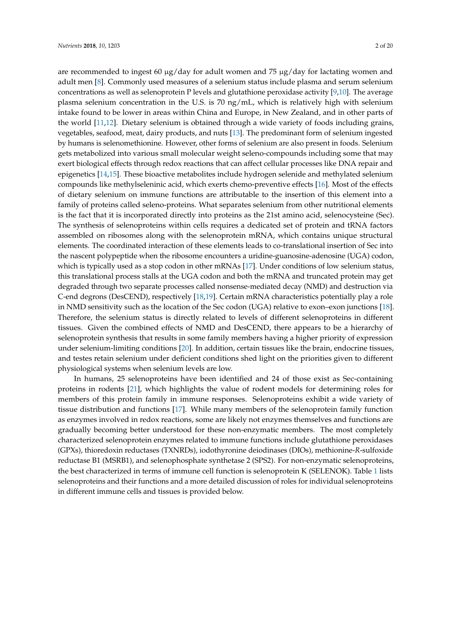are recommended to ingest 60  $\mu$ g/day for adult women and 75  $\mu$ g/day for lactating women and adult men [\[8\]](#page-10-7). Commonly used measures of a selenium status include plasma and serum selenium concentrations as well as selenoprotein P levels and glutathione peroxidase activity [\[9](#page-10-8)[,10\]](#page-10-9). The average plasma selenium concentration in the U.S. is 70 ng/mL, which is relatively high with selenium intake found to be lower in areas within China and Europe, in New Zealand, and in other parts of the world [\[11](#page-11-0)[,12\]](#page-11-1). Dietary selenium is obtained through a wide variety of foods including grains, vegetables, seafood, meat, dairy products, and nuts [\[13\]](#page-11-2). The predominant form of selenium ingested by humans is selenomethionine. However, other forms of selenium are also present in foods. Selenium gets metabolized into various small molecular weight seleno-compounds including some that may exert biological effects through redox reactions that can affect cellular processes like DNA repair and epigenetics [\[14,](#page-11-3)[15\]](#page-11-4). These bioactive metabolites include hydrogen selenide and methylated selenium compounds like methylseleninic acid, which exerts chemo-preventive effects [\[16\]](#page-11-5). Most of the effects of dietary selenium on immune functions are attributable to the insertion of this element into a family of proteins called seleno-proteins. What separates selenium from other nutritional elements is the fact that it is incorporated directly into proteins as the 21st amino acid, selenocysteine (Sec). The synthesis of selenoproteins within cells requires a dedicated set of protein and tRNA factors assembled on ribosomes along with the selenoprotein mRNA, which contains unique structural elements. The coordinated interaction of these elements leads to co-translational insertion of Sec into the nascent polypeptide when the ribosome encounters a uridine-guanosine-adenosine (UGA) codon, which is typically used as a stop codon in other mRNAs [\[17\]](#page-11-6). Under conditions of low selenium status, this translational process stalls at the UGA codon and both the mRNA and truncated protein may get degraded through two separate processes called nonsense-mediated decay (NMD) and destruction via C-end degrons (DesCEND), respectively [\[18](#page-11-7)[,19\]](#page-11-8). Certain mRNA characteristics potentially play a role in NMD sensitivity such as the location of the Sec codon (UGA) relative to exon–exon junctions [\[18\]](#page-11-7). Therefore, the selenium status is directly related to levels of different selenoproteins in different tissues. Given the combined effects of NMD and DesCEND, there appears to be a hierarchy of selenoprotein synthesis that results in some family members having a higher priority of expression under selenium-limiting conditions [\[20\]](#page-11-9). In addition, certain tissues like the brain, endocrine tissues, and testes retain selenium under deficient conditions shed light on the priorities given to different physiological systems when selenium levels are low.

In humans, 25 selenoproteins have been identified and 24 of those exist as Sec-containing proteins in rodents [\[21\]](#page-11-10), which highlights the value of rodent models for determining roles for members of this protein family in immune responses. Selenoproteins exhibit a wide variety of tissue distribution and functions [\[17\]](#page-11-6). While many members of the selenoprotein family function as enzymes involved in redox reactions, some are likely not enzymes themselves and functions are gradually becoming better understood for these non-enzymatic members. The most completely characterized selenoprotein enzymes related to immune functions include glutathione peroxidases (GPXs), thioredoxin reductases (TXNRDs), iodothyronine deiodinases (DIOs), methionine-*R*-sulfoxide reductase B1 (MSRB1), and selenophosphate synthetase 2 (SPS2). For non-enzymatic selenoproteins, the best characterized in terms of immune cell function is selenoprotein K (SELENOK). Table [1](#page-2-0) lists selenoproteins and their functions and a more detailed discussion of roles for individual selenoproteins in different immune cells and tissues is provided below.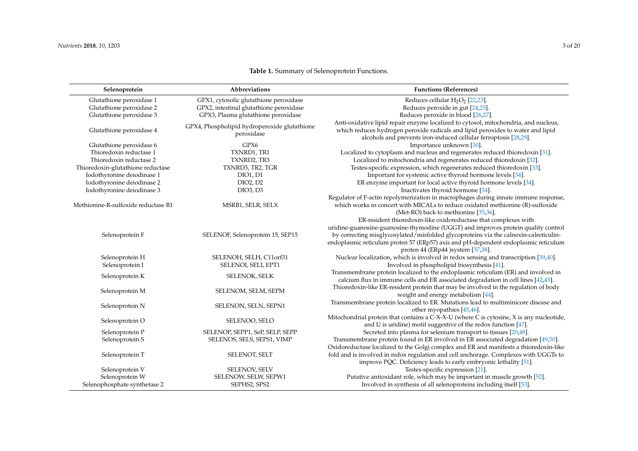<span id="page-2-0"></span>

| Selenoprotein                       | Abbreviations                                              | <b>Functions (References)</b>                                                                                                                                                                                                                                                                         |
|-------------------------------------|------------------------------------------------------------|-------------------------------------------------------------------------------------------------------------------------------------------------------------------------------------------------------------------------------------------------------------------------------------------------------|
| Glutathione peroxidase 1            | GPX1, cytosolic glutathione peroxidase                     | Reduces cellular $H_2O_2$ [22,23].                                                                                                                                                                                                                                                                    |
| Glutathione peroxidase 2            | GPX2, intestinal glutathione peroxidase                    | Reduces peroxide in gut [24,25].                                                                                                                                                                                                                                                                      |
| Glutathione peroxidase 3            | GPX3, Plasma glutathione peroxidase                        | Reduces peroxide in blood [26,27].                                                                                                                                                                                                                                                                    |
| Glutathione peroxidase 4            | GPX4, Phospholipid hydroperoxide glutathione<br>peroxidase | Anti-oxidative lipid repair enzyme localized to cytosol, mitochondria, and nucleus,<br>which reduces hydrogen peroxide radicals and lipid peroxides to water and lipid<br>alcohols and prevents iron-induced cellular ferroptosis [28,29].                                                            |
| Glutathione peroxidase 6            | GPX6                                                       | Importance unknown [30].                                                                                                                                                                                                                                                                              |
| Thioredoxin reductase 1             | TXNRD1, TR1                                                | Localized to cytoplasm and nucleus and regenerates reduced thioredoxin [31].                                                                                                                                                                                                                          |
| Thioredoxin reductase 2             | TXNRD2, TR3                                                | Localized to mitochondria and regenerates reduced thioredoxin [32].                                                                                                                                                                                                                                   |
| Thioredoxin-glutathione reductase   | TXNRD3, TR2, TGR                                           | Testes-specific expression, which regenerates reduced thioredoxin [33].                                                                                                                                                                                                                               |
| Iodothyronine deiodinase 1          | <b>DIO1</b> , D1                                           | Important for systemic active thyroid hormone levels [34].                                                                                                                                                                                                                                            |
| Iodothyronine deiodinase 2          | DIO2, D2                                                   | ER enzyme important for local active thyroid hormone levels [34].                                                                                                                                                                                                                                     |
| Iodothyronine deiodinase 3          | DIO3, D3                                                   | Inactivates thyroid hormone [34].                                                                                                                                                                                                                                                                     |
|                                     |                                                            | Regulator of F-actin repolymerization in macrophages during innate immune response,                                                                                                                                                                                                                   |
| Methionine-R-sulfoxide reductase B1 | MSRB1, SELR, SELX                                          | which works in concert with MICALs to reduce oxidated methionine (R)-sulfoxide                                                                                                                                                                                                                        |
|                                     |                                                            | (Met-RO) back to methionine [35,36].                                                                                                                                                                                                                                                                  |
|                                     |                                                            | ER-resident thioredoxin-like oxidoreductase that complexes with                                                                                                                                                                                                                                       |
| Selenoprotein F                     | SELENOF, Selenoprotein 15, SEP15                           | uridine-guanosine-guanosine-thymodine (UGGT) and improves protein quality control<br>by correcting misglycosylated/misfolded glycoproteins via the calnexin-calreticulin-<br>endoplasmic reticulum proten 57 (ERp57) axis and pH-dependent endoplasmic reticulum<br>proten 44 (ERp44 )system [37,38]. |
| Selenoprotein H                     | SELENOH, SELH, C11orf31                                    | Nuclear localization, which is involved in redox sensing and transcription [39,40].                                                                                                                                                                                                                   |
| Selenoprotein I                     | SELENOI, SELI, EPT1                                        | Involved in phospholipid biosynthesis [41].                                                                                                                                                                                                                                                           |
| Selenoprotein K                     | <b>SELENOK, SELK</b>                                       | Transmembrane protein localized to the endoplasmic reticulum (ER) and involved in<br>calcium flux in immune cells and ER associated degradation in cell lines [42,43].                                                                                                                                |
| Selenoprotein M                     | SELENOM, SELM, SEPM                                        | Thioredoxin-like ER-resident protein that may be involved in the regulation of body<br>weight and energy metabolism [44].                                                                                                                                                                             |
| Selenoprotein N                     | SELENON, SELN, SEPN1                                       | Transmembrane protein localized to ER. Mutations lead to multiminicore disease and<br>other myopathies [45,46].                                                                                                                                                                                       |
| Selenoprotein O                     | SELENOO, SELO                                              | Mitochondrial protein that contains a C-X-X-U (where C is cytosine, X is any nucleotide,<br>and U is uridine) motif suggestive of the redox function [47].                                                                                                                                            |
| Selenoprotein P                     | SELENOP, SEPP1, SeP, SELP, SEPP                            | Secreted into plasma for selenium transport to tissues [20,48].                                                                                                                                                                                                                                       |
| Selenoprotein S                     | SELENOS, SELS, SEPS1, VIMP                                 | Transmembrane protein found in ER involved in ER associated degradation [49,50].                                                                                                                                                                                                                      |
|                                     |                                                            | Oxidoreductase localized to the Golgi complex and ER and manifests a thioredoxin-like                                                                                                                                                                                                                 |
| Selenoprotein T                     | SELENOT, SELT                                              | fold and is involved in redox regulation and cell anchorage. Complexes with UGGTs to                                                                                                                                                                                                                  |
|                                     |                                                            | improve PQC. Deficiency leads to early embryonic lethality [51].                                                                                                                                                                                                                                      |
| Selenoprotein V                     | <b>SELENOV, SELV</b>                                       | Testes-specific expression [21].                                                                                                                                                                                                                                                                      |
| Selenoprotein W                     | SELENOW, SELW, SEPW1                                       | Putative antioxidant role, which may be important in muscle growth [52].                                                                                                                                                                                                                              |
| Selenophosphate synthetase 2        | SEPHS2, SPS2                                               | Involved in synthesis of all selenoproteins including itself [53].                                                                                                                                                                                                                                    |

# **Table 1.** Summary of Selenoprotein Functions.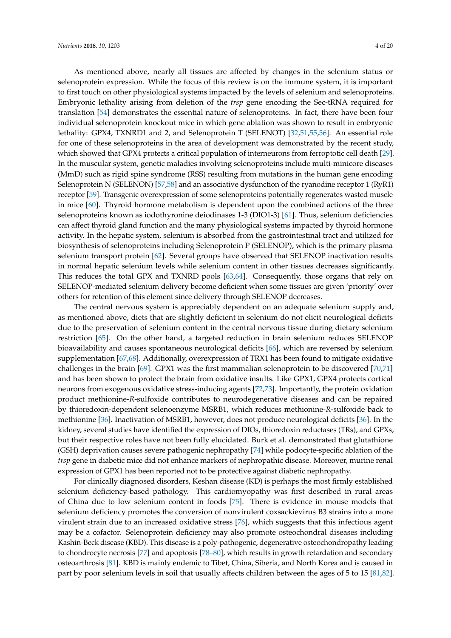As mentioned above, nearly all tissues are affected by changes in the selenium status or selenoprotein expression. While the focus of this review is on the immune system, it is important to first touch on other physiological systems impacted by the levels of selenium and selenoproteins. Embryonic lethality arising from deletion of the *trsp* gene encoding the Sec-tRNA required for translation [\[54\]](#page-13-1) demonstrates the essential nature of selenoproteins. In fact, there have been four individual selenoprotein knockout mice in which gene ablation was shown to result in embryonic lethality: GPX4, TXNRD1 and 2, and Selenoprotein T (SELENOT) [\[32](#page-11-22)[,51](#page-12-20)[,55](#page-13-2)[,56\]](#page-13-3). An essential role for one of these selenoproteins in the area of development was demonstrated by the recent study, which showed that GPX4 protects a critical population of interneurons from ferroptotic cell death [\[29\]](#page-11-23). In the muscular system, genetic maladies involving selenoproteins include multi-minicore diseases (MmD) such as rigid spine syndrome (RSS) resulting from mutations in the human gene encoding Selenoprotein N (SELENON) [\[57,](#page-13-4)[58\]](#page-13-5) and an associative dysfunction of the ryanodine receptor 1 (RyR1) receptor [\[59\]](#page-13-6). Transgenic overexpression of some selenoproteins potentially regenerates wasted muscle in mice [\[60\]](#page-13-7). Thyroid hormone metabolism is dependent upon the combined actions of the three selenoproteins known as iodothyronine deiodinases 1-3 (DIO1-3) [\[61\]](#page-13-8). Thus, selenium deficiencies can affect thyroid gland function and the many physiological systems impacted by thyroid hormone activity. In the hepatic system, selenium is absorbed from the gastrointestinal tract and utilized for biosynthesis of selenoproteins including Selenoprotein P (SELENOP), which is the primary plasma selenium transport protein [\[62\]](#page-13-9). Several groups have observed that SELENOP inactivation results in normal hepatic selenium levels while selenium content in other tissues decreases significantly. This reduces the total GPX and TXNRD pools [\[63,](#page-13-10)[64\]](#page-13-11). Consequently, those organs that rely on SELENOP-mediated selenium delivery become deficient when some tissues are given 'priority' over others for retention of this element since delivery through SELENOP decreases.

The central nervous system is appreciably dependent on an adequate selenium supply and, as mentioned above, diets that are slightly deficient in selenium do not elicit neurological deficits due to the preservation of selenium content in the central nervous tissue during dietary selenium restriction [\[65\]](#page-13-12). On the other hand, a targeted reduction in brain selenium reduces SELENOP bioavailability and causes spontaneous neurological deficits [\[66\]](#page-13-13), which are reversed by selenium supplementation [\[67](#page-13-14)[,68\]](#page-13-15). Additionally, overexpression of TRX1 has been found to mitigate oxidative challenges in the brain [\[69\]](#page-13-16). GPX1 was the first mammalian selenoprotein to be discovered [\[70](#page-13-17)[,71\]](#page-13-18) and has been shown to protect the brain from oxidative insults. Like GPX1, GPX4 protects cortical neurons from exogenous oxidative stress-inducing agents [\[72](#page-14-0)[,73\]](#page-14-1). Importantly, the protein oxidation product methionine-*R*-sulfoxide contributes to neurodegenerative diseases and can be repaired by thioredoxin-dependent selenoenzyme MSRB1, which reduces methionine-*R*-sulfoxide back to methionine [\[36\]](#page-12-21). Inactivation of MSRB1, however, does not produce neurological deficits [\[36\]](#page-12-21). In the kidney, several studies have identified the expression of DIOs, thioredoxin reductases (TRs), and GPXs, but their respective roles have not been fully elucidated. Burk et al. demonstrated that glutathione (GSH) deprivation causes severe pathogenic nephropathy [\[74\]](#page-14-2) while podocyte-specific ablation of the *trsp* gene in diabetic mice did not enhance markers of nephropathic disease. Moreover, murine renal expression of GPX1 has been reported not to be protective against diabetic nephropathy.

For clinically diagnosed disorders, Keshan disease (KD) is perhaps the most firmly established selenium deficiency-based pathology. This cardiomyopathy was first described in rural areas of China due to low selenium content in foods [\[75\]](#page-14-3). There is evidence in mouse models that selenium deficiency promotes the conversion of nonvirulent coxsackievirus B3 strains into a more virulent strain due to an increased oxidative stress [\[76\]](#page-14-4), which suggests that this infectious agent may be a cofactor. Selenoprotein deficiency may also promote osteochondral diseases including Kashin-Beck disease (KBD). This disease is a poly-pathogenic, degenerative osteochondropathy leading to chondrocyte necrosis [\[77\]](#page-14-5) and apoptosis [\[78–](#page-14-6)[80\]](#page-14-7), which results in growth retardation and secondary osteoarthrosis [\[81\]](#page-14-8). KBD is mainly endemic to Tibet, China, Siberia, and North Korea and is caused in part by poor selenium levels in soil that usually affects children between the ages of 5 to 15 [\[81,](#page-14-8)[82\]](#page-14-9).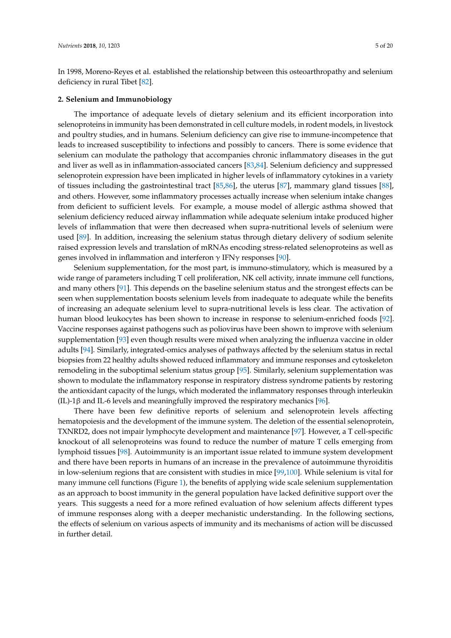In 1998, Moreno-Reyes et al. established the relationship between this osteoarthropathy and selenium deficiency in rural Tibet [\[82\]](#page-14-9).

#### **2. Selenium and Immunobiology**

The importance of adequate levels of dietary selenium and its efficient incorporation into selenoproteins in immunity has been demonstrated in cell culture models, in rodent models, in livestock and poultry studies, and in humans. Selenium deficiency can give rise to immune-incompetence that leads to increased susceptibility to infections and possibly to cancers. There is some evidence that selenium can modulate the pathology that accompanies chronic inflammatory diseases in the gut and liver as well as in inflammation-associated cancers [\[83,](#page-14-10)[84\]](#page-14-11). Selenium deficiency and suppressed selenoprotein expression have been implicated in higher levels of inflammatory cytokines in a variety of tissues including the gastrointestinal tract [\[85](#page-14-12)[,86\]](#page-14-13), the uterus [\[87\]](#page-14-14), mammary gland tissues [\[88\]](#page-14-15), and others. However, some inflammatory processes actually increase when selenium intake changes from deficient to sufficient levels. For example, a mouse model of allergic asthma showed that selenium deficiency reduced airway inflammation while adequate selenium intake produced higher levels of inflammation that were then decreased when supra-nutritional levels of selenium were used [\[89\]](#page-14-16). In addition, increasing the selenium status through dietary delivery of sodium selenite raised expression levels and translation of mRNAs encoding stress-related selenoproteins as well as genes involved in inflammation and interferon  $\gamma$  IFN $\gamma$  responses [\[90\]](#page-14-17).

Selenium supplementation, for the most part, is immuno-stimulatory, which is measured by a wide range of parameters including T cell proliferation, NK cell activity, innate immune cell functions, and many others [\[91\]](#page-14-18). This depends on the baseline selenium status and the strongest effects can be seen when supplementation boosts selenium levels from inadequate to adequate while the benefits of increasing an adequate selenium level to supra-nutritional levels is less clear. The activation of human blood leukocytes has been shown to increase in response to selenium-enriched foods [\[92\]](#page-15-0). Vaccine responses against pathogens such as poliovirus have been shown to improve with selenium supplementation [\[93\]](#page-15-1) even though results were mixed when analyzing the influenza vaccine in older adults [\[94\]](#page-15-2). Similarly, integrated-omics analyses of pathways affected by the selenium status in rectal biopsies from 22 healthy adults showed reduced inflammatory and immune responses and cytoskeleton remodeling in the suboptimal selenium status group [\[95\]](#page-15-3). Similarly, selenium supplementation was shown to modulate the inflammatory response in respiratory distress syndrome patients by restoring the antioxidant capacity of the lungs, which moderated the inflammatory responses through interleukin (IL)-1β and IL-6 levels and meaningfully improved the respiratory mechanics [\[96\]](#page-15-4).

There have been few definitive reports of selenium and selenoprotein levels affecting hematopoiesis and the development of the immune system. The deletion of the essential selenoprotein, TXNRD2, does not impair lymphocyte development and maintenance [\[97\]](#page-15-5). However, a T cell-specific knockout of all selenoproteins was found to reduce the number of mature T cells emerging from lymphoid tissues [\[98\]](#page-15-6). Autoimmunity is an important issue related to immune system development and there have been reports in humans of an increase in the prevalence of autoimmune thyroiditis in low-selenium regions that are consistent with studies in mice [\[99](#page-15-7)[,100\]](#page-15-8). While selenium is vital for many immune cell functions (Figure [1\)](#page-5-0), the benefits of applying wide scale selenium supplementation as an approach to boost immunity in the general population have lacked definitive support over the years. This suggests a need for a more refined evaluation of how selenium affects different types of immune responses along with a deeper mechanistic understanding. In the following sections, the effects of selenium on various aspects of immunity and its mechanisms of action will be discussed in further detail.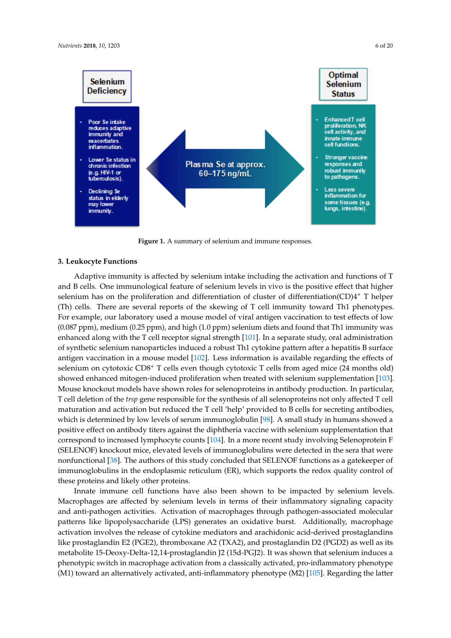<span id="page-5-0"></span>

Figure 1. A summary of selenium and immune responses.

### **3. Leukocyte Functions**

Adaptive immunity is affected by selenium intake including the activation and functions of T and B cells. One immunological feature of selenium levels in vivo is the positive effect that higher selenium has on the proliferation and differentiation of cluster of differentiation(CD)4<sup>+</sup> T helper (Th) cells. There are several reports of the skewing of T cell immunity toward Th1 phenotypes. For example, our laboratory used a mouse model of viral antigen vaccination to test effects of low (0.087 ppm), medium (0.25 ppm), and high (1.0 ppm) selenium diets and found that Th1 immunity was enhanced along with the T cell receptor signal strength [\[101\]](#page-15-9). In a separate study, oral administration of synthetic selenium nanoparticles induced a robust Th1 cytokine pattern after a hepatitis B surface antigen vaccination in a mouse model [\[102\]](#page-15-10). Less information is available regarding the effects of selenium on cytotoxic CD8<sup>+</sup> T cells even though cytotoxic T cells from aged mice (24 months old) showed enhanced mitogen-induced proliferation when treated with selenium supplementation [\[103\]](#page-15-11). Mouse knockout models have shown roles for selenoproteins in antibody production. In particular, T cell deletion of the *trsp* gene responsible for the synthesis of all selenoproteins not only affected T cell maturation and activation but reduced the T cell 'help' provided to B cells for secreting antibodies, which is determined by low levels of serum immunoglobulin [\[98\]](#page-15-6). A small study in humans showed a positive effect on antibody titers against the diphtheria vaccine with selenium supplementation that correspond to increased lymphocyte counts [\[104\]](#page-15-12). In a more recent study involving Selenoprotein F (SELENOF) knockout mice, elevated levels of immunoglobulins were detected in the sera that were nonfunctional [\[38\]](#page-12-22). The authors of this study concluded that SELENOF functions as a gatekeeper of immunoglobulins in the endoplasmic reticulum (ER), which supports the redox quality control of these proteins and likely other proteins.

Innate immune cell functions have also been shown to be impacted by selenium levels. Macrophages are affected by selenium levels in terms of their inflammatory signaling capacity and anti-pathogen activities. Activation of macrophages through pathogen-associated molecular patterns like lipopolysaccharide (LPS) generates an oxidative burst. Additionally, macrophage activation involves the release of cytokine mediators and arachidonic acid-derived prostaglandins like prostaglandin E2 (PGE2), thromboxane A2 (TXA2), and prostaglandin D2 (PGD2) as well as its metabolite 15-Deoxy-Delta-12,14-prostaglandin J2 (15d-PGJ2). It was shown that selenium induces a phenotypic switch in macrophage activation from a classically activated, pro-inflammatory phenotype (M1) toward an alternatively activated, anti-inflammatory phenotype (M2) [\[105\]](#page-15-13). Regarding the latter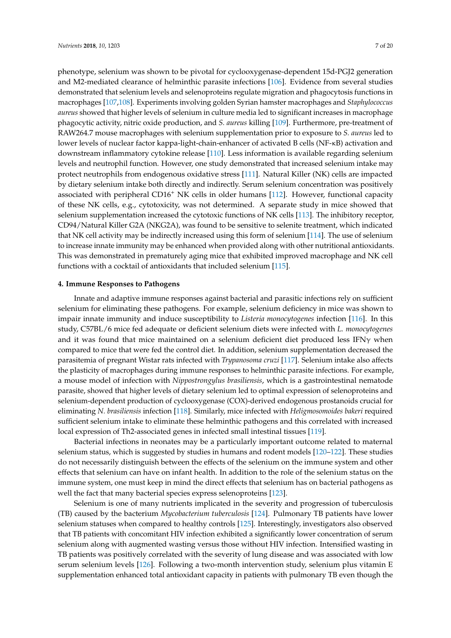phenotype, selenium was shown to be pivotal for cyclooxygenase-dependent 15d-PGJ2 generation and M2-mediated clearance of helminthic parasite infections [\[106\]](#page-15-14). Evidence from several studies demonstrated that selenium levels and selenoproteins regulate migration and phagocytosis functions in macrophages [\[107](#page-15-15)[,108\]](#page-15-16). Experiments involving golden Syrian hamster macrophages and *Staphylococcus aureus* showed that higher levels of selenium in culture media led to significant increases in macrophage phagocytic activity, nitric oxide production, and *S. aureus* killing [\[109\]](#page-15-17). Furthermore, pre-treatment of RAW264.7 mouse macrophages with selenium supplementation prior to exposure to *S. aureus* led to lower levels of nuclear factor kappa-light-chain-enhancer of activated B cells (NF-κB) activation and downstream inflammatory cytokine release [\[110\]](#page-16-0). Less information is available regarding selenium levels and neutrophil function. However, one study demonstrated that increased selenium intake may protect neutrophils from endogenous oxidative stress [\[111\]](#page-16-1). Natural Killer (NK) cells are impacted by dietary selenium intake both directly and indirectly. Serum selenium concentration was positively associated with peripheral CD16<sup>+</sup> NK cells in older humans [\[112\]](#page-16-2). However, functional capacity of these NK cells, e.g., cytotoxicity, was not determined. A separate study in mice showed that selenium supplementation increased the cytotoxic functions of NK cells [\[113\]](#page-16-3). The inhibitory receptor, CD94/Natural Killer G2A (NKG2A), was found to be sensitive to selenite treatment, which indicated that NK cell activity may be indirectly increased using this form of selenium [\[114\]](#page-16-4). The use of selenium to increase innate immunity may be enhanced when provided along with other nutritional antioxidants. This was demonstrated in prematurely aging mice that exhibited improved macrophage and NK cell functions with a cocktail of antioxidants that included selenium [\[115\]](#page-16-5).

#### **4. Immune Responses to Pathogens**

Innate and adaptive immune responses against bacterial and parasitic infections rely on sufficient selenium for eliminating these pathogens. For example, selenium deficiency in mice was shown to impair innate immunity and induce susceptibility to *Listeria monocytogenes* infection [\[116\]](#page-16-6). In this study, C57BL/6 mice fed adequate or deficient selenium diets were infected with *L. monocytogenes* and it was found that mice maintained on a selenium deficient diet produced less IFN $\gamma$  when compared to mice that were fed the control diet. In addition, selenium supplementation decreased the parasitemia of pregnant Wistar rats infected with *Trypanosoma cruzi* [\[117\]](#page-16-7). Selenium intake also affects the plasticity of macrophages during immune responses to helminthic parasite infections. For example, a mouse model of infection with *Nippostrongylus brasiliensis*, which is a gastrointestinal nematode parasite, showed that higher levels of dietary selenium led to optimal expression of selenoproteins and selenium-dependent production of cyclooxygenase (COX)-derived endogenous prostanoids crucial for eliminating *N. brasiliensis* infection [\[118\]](#page-16-8). Similarly, mice infected with *Heligmosomoides bakeri* required sufficient selenium intake to eliminate these helminthic pathogens and this correlated with increased local expression of Th2-associated genes in infected small intestinal tissues [\[119\]](#page-16-9).

Bacterial infections in neonates may be a particularly important outcome related to maternal selenium status, which is suggested by studies in humans and rodent models [\[120](#page-16-10)[–122\]](#page-16-11). These studies do not necessarily distinguish between the effects of the selenium on the immune system and other effects that selenium can have on infant health. In addition to the role of the selenium status on the immune system, one must keep in mind the direct effects that selenium has on bacterial pathogens as well the fact that many bacterial species express selenoproteins [\[123\]](#page-16-12).

Selenium is one of many nutrients implicated in the severity and progression of tuberculosis (TB) caused by the bacterium *Mycobacterium tuberculosis* [\[124\]](#page-16-13). Pulmonary TB patients have lower selenium statuses when compared to healthy controls [\[125\]](#page-16-14). Interestingly, investigators also observed that TB patients with concomitant HIV infection exhibited a significantly lower concentration of serum selenium along with augmented wasting versus those without HIV infection. Intensified wasting in TB patients was positively correlated with the severity of lung disease and was associated with low serum selenium levels [\[126\]](#page-16-15). Following a two-month intervention study, selenium plus vitamin E supplementation enhanced total antioxidant capacity in patients with pulmonary TB even though the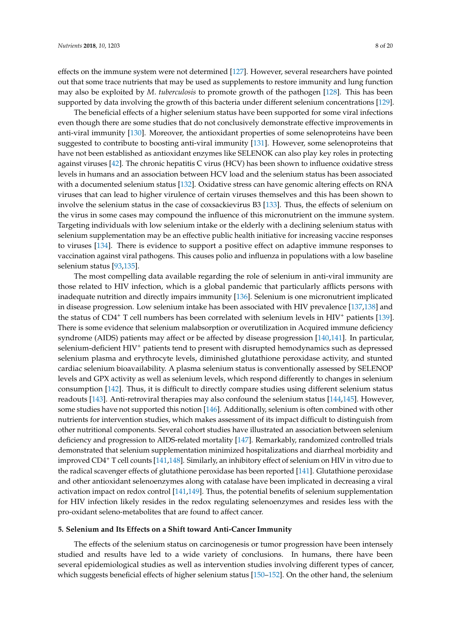effects on the immune system were not determined [\[127\]](#page-16-16). However, several researchers have pointed out that some trace nutrients that may be used as supplements to restore immunity and lung function may also be exploited by *M*. *tuberculosis* to promote growth of the pathogen [\[128\]](#page-17-0). This has been supported by data involving the growth of this bacteria under different selenium concentrations [\[129\]](#page-17-1).

The beneficial effects of a higher selenium status have been supported for some viral infections even though there are some studies that do not conclusively demonstrate effective improvements in anti-viral immunity [\[130\]](#page-17-2). Moreover, the antioxidant properties of some selenoproteins have been suggested to contribute to boosting anti-viral immunity [\[131\]](#page-17-3). However, some selenoproteins that have not been established as antioxidant enzymes like SELENOK can also play key roles in protecting against viruses [\[42\]](#page-12-23). The chronic hepatitis C virus (HCV) has been shown to influence oxidative stress levels in humans and an association between HCV load and the selenium status has been associated with a documented selenium status [\[132\]](#page-17-4). Oxidative stress can have genomic altering effects on RNA viruses that can lead to higher virulence of certain viruses themselves and this has been shown to involve the selenium status in the case of coxsackievirus B3 [\[133\]](#page-17-5). Thus, the effects of selenium on the virus in some cases may compound the influence of this micronutrient on the immune system. Targeting individuals with low selenium intake or the elderly with a declining selenium status with selenium supplementation may be an effective public health initiative for increasing vaccine responses to viruses [\[134\]](#page-17-6). There is evidence to support a positive effect on adaptive immune responses to vaccination against viral pathogens. This causes polio and influenza in populations with a low baseline selenium status [\[93](#page-15-1)[,135\]](#page-17-7).

The most compelling data available regarding the role of selenium in anti-viral immunity are those related to HIV infection, which is a global pandemic that particularly afflicts persons with inadequate nutrition and directly impairs immunity [\[136\]](#page-17-8). Selenium is one micronutrient implicated in disease progression. Low selenium intake has been associated with HIV prevalence [\[137](#page-17-9)[,138\]](#page-17-10) and the status of  $CD4^+$  T cell numbers has been correlated with selenium levels in HIV<sup>+</sup> patients [\[139\]](#page-17-11). There is some evidence that selenium malabsorption or overutilization in Acquired immune deficiency syndrome (AIDS) patients may affect or be affected by disease progression [\[140](#page-17-12)[,141\]](#page-17-13). In particular, selenium-deficient HIV<sup>+</sup> patients tend to present with disrupted hemodynamics such as depressed selenium plasma and erythrocyte levels, diminished glutathione peroxidase activity, and stunted cardiac selenium bioavailability. A plasma selenium status is conventionally assessed by SELENOP levels and GPX activity as well as selenium levels, which respond differently to changes in selenium consumption [\[142\]](#page-17-14). Thus, it is difficult to directly compare studies using different selenium status readouts [\[143\]](#page-17-15). Anti-retroviral therapies may also confound the selenium status [\[144,](#page-17-16)[145\]](#page-17-17). However, some studies have not supported this notion [\[146\]](#page-17-18). Additionally, selenium is often combined with other nutrients for intervention studies, which makes assessment of its impact difficult to distinguish from other nutritional components. Several cohort studies have illustrated an association between selenium deficiency and progression to AIDS-related mortality [\[147\]](#page-17-19). Remarkably, randomized controlled trials demonstrated that selenium supplementation minimized hospitalizations and diarrheal morbidity and improved CD4<sup>+</sup> T cell counts [\[141](#page-17-13)[,148\]](#page-18-0). Similarly, an inhibitory effect of selenium on HIV in vitro due to the radical scavenger effects of glutathione peroxidase has been reported [\[141\]](#page-17-13). Glutathione peroxidase and other antioxidant selenoenzymes along with catalase have been implicated in decreasing a viral activation impact on redox control [\[141](#page-17-13)[,149\]](#page-18-1). Thus, the potential benefits of selenium supplementation for HIV infection likely resides in the redox regulating selenoenzymes and resides less with the pro-oxidant seleno-metabolites that are found to affect cancer.

#### **5. Selenium and Its Effects on a Shift toward Anti-Cancer Immunity**

The effects of the selenium status on carcinogenesis or tumor progression have been intensely studied and results have led to a wide variety of conclusions. In humans, there have been several epidemiological studies as well as intervention studies involving different types of cancer, which suggests beneficial effects of higher selenium status [\[150](#page-18-2)[–152\]](#page-18-3). On the other hand, the selenium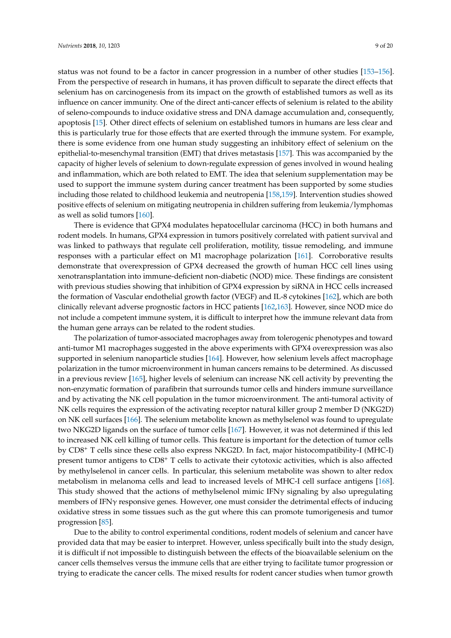status was not found to be a factor in cancer progression in a number of other studies [\[153–](#page-18-4)[156\]](#page-18-5). From the perspective of research in humans, it has proven difficult to separate the direct effects that selenium has on carcinogenesis from its impact on the growth of established tumors as well as its influence on cancer immunity. One of the direct anti-cancer effects of selenium is related to the ability of seleno-compounds to induce oxidative stress and DNA damage accumulation and, consequently, apoptosis [\[15\]](#page-11-4). Other direct effects of selenium on established tumors in humans are less clear and this is particularly true for those effects that are exerted through the immune system. For example, there is some evidence from one human study suggesting an inhibitory effect of selenium on the epithelial-to-mesenchymal transition (EMT) that drives metastasis [\[157\]](#page-18-6). This was accompanied by the capacity of higher levels of selenium to down-regulate expression of genes involved in wound healing and inflammation, which are both related to EMT. The idea that selenium supplementation may be used to support the immune system during cancer treatment has been supported by some studies including those related to childhood leukemia and neutropenia [\[158](#page-18-7)[,159\]](#page-18-8). Intervention studies showed positive effects of selenium on mitigating neutropenia in children suffering from leukemia/lymphomas as well as solid tumors [\[160\]](#page-18-9).

There is evidence that GPX4 modulates hepatocellular carcinoma (HCC) in both humans and rodent models. In humans, GPX4 expression in tumors positively correlated with patient survival and was linked to pathways that regulate cell proliferation, motility, tissue remodeling, and immune responses with a particular effect on M1 macrophage polarization [\[161\]](#page-18-10). Corroborative results demonstrate that overexpression of GPX4 decreased the growth of human HCC cell lines using xenotransplantation into immune-deficient non-diabetic (NOD) mice. These findings are consistent with previous studies showing that inhibition of GPX4 expression by siRNA in HCC cells increased the formation of Vascular endothelial growth factor (VEGF) and IL-8 cytokines [\[162\]](#page-18-11), which are both clinically relevant adverse prognostic factors in HCC patients [\[162,](#page-18-11)[163\]](#page-18-12). However, since NOD mice do not include a competent immune system, it is difficult to interpret how the immune relevant data from the human gene arrays can be related to the rodent studies.

The polarization of tumor-associated macrophages away from tolerogenic phenotypes and toward anti-tumor M1 macrophages suggested in the above experiments with GPX4 overexpression was also supported in selenium nanoparticle studies [\[164\]](#page-18-13). However, how selenium levels affect macrophage polarization in the tumor microenvironment in human cancers remains to be determined. As discussed in a previous review [\[165\]](#page-18-14), higher levels of selenium can increase NK cell activity by preventing the non-enzymatic formation of parafibrin that surrounds tumor cells and hinders immune surveillance and by activating the NK cell population in the tumor microenvironment. The anti-tumoral activity of NK cells requires the expression of the activating receptor natural killer group 2 member D (NKG2D) on NK cell surfaces [\[166\]](#page-19-0). The selenium metabolite known as methylselenol was found to upregulate two NKG2D ligands on the surface of tumor cells [\[167\]](#page-19-1). However, it was not determined if this led to increased NK cell killing of tumor cells. This feature is important for the detection of tumor cells by CD8<sup>+</sup> T cells since these cells also express NKG2D. In fact, major histocompatibility-I (MHC-I) present tumor antigens to CD8<sup>+</sup> T cells to activate their cytotoxic activities, which is also affected by methylselenol in cancer cells. In particular, this selenium metabolite was shown to alter redox metabolism in melanoma cells and lead to increased levels of MHC-I cell surface antigens [\[168\]](#page-19-2). This study showed that the actions of methylselenol mimic IFN $\gamma$  signaling by also upregulating members of IFNγ responsive genes. However, one must consider the detrimental effects of inducing oxidative stress in some tissues such as the gut where this can promote tumorigenesis and tumor progression [\[85\]](#page-14-12).

Due to the ability to control experimental conditions, rodent models of selenium and cancer have provided data that may be easier to interpret. However, unless specifically built into the study design, it is difficult if not impossible to distinguish between the effects of the bioavailable selenium on the cancer cells themselves versus the immune cells that are either trying to facilitate tumor progression or trying to eradicate the cancer cells. The mixed results for rodent cancer studies when tumor growth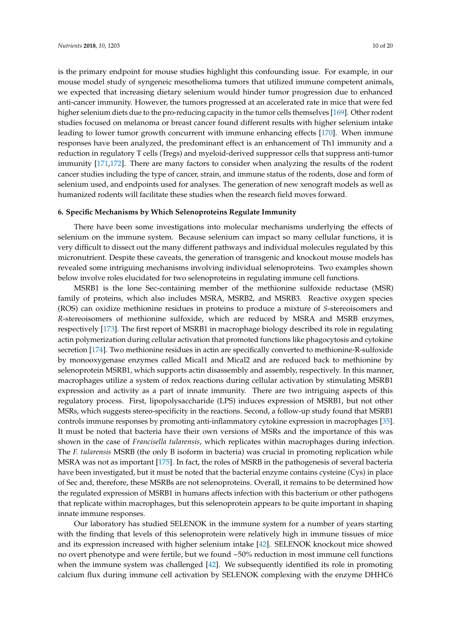is the primary endpoint for mouse studies highlight this confounding issue. For example, in our mouse model study of syngeneic mesothelioma tumors that utilized immune competent animals, we expected that increasing dietary selenium would hinder tumor progression due to enhanced anti-cancer immunity. However, the tumors progressed at an accelerated rate in mice that were fed higher selenium diets due to the pro-reducing capacity in the tumor cells themselves [\[169\]](#page-19-3). Other rodent studies focused on melanoma or breast cancer found different results with higher selenium intake leading to lower tumor growth concurrent with immune enhancing effects [\[170\]](#page-19-4). When immune responses have been analyzed, the predominant effect is an enhancement of Th1 immunity and a reduction in regulatory T cells (Tregs) and myeloid-derived suppressor cells that suppress anti-tumor immunity [\[171](#page-19-5)[,172\]](#page-19-6). There are many factors to consider when analyzing the results of the rodent cancer studies including the type of cancer, strain, and immune status of the rodents, dose and form of selenium used, and endpoints used for analyses. The generation of new xenograft models as well as humanized rodents will facilitate these studies when the research field moves forward.

## **6. Specific Mechanisms by Which Selenoproteins Regulate Immunity**

There have been some investigations into molecular mechanisms underlying the effects of selenium on the immune system. Because selenium can impact so many cellular functions, it is very difficult to dissect out the many different pathways and individual molecules regulated by this micronutrient. Despite these caveats, the generation of transgenic and knockout mouse models has revealed some intriguing mechanisms involving individual selenoproteins. Two examples shown below involve roles elucidated for two selenoproteins in regulating immune cell functions.

MSRB1 is the lone Sec-containing member of the methionine sulfoxide reductase (MSR) family of proteins, which also includes MSRA, MSRB2, and MSRB3. Reactive oxygen species (ROS) can oxidize methionine residues in proteins to produce a mixture of *S*-stereoisomers and *R*-stereoisomers of methionine sulfoxide, which are reduced by MSRA and MSRB enzymes, respectively [\[173\]](#page-19-7). The first report of MSRB1 in macrophage biology described its role in regulating actin polymerization during cellular activation that promoted functions like phagocytosis and cytokine secretion [\[174\]](#page-19-8). Two methionine residues in actin are specifically converted to methionine-R-sulfoxide by monooxygenase enzymes called Mical1 and Mical2 and are reduced back to methionine by selenoprotein MSRB1, which supports actin disassembly and assembly, respectively. In this manner, macrophages utilize a system of redox reactions during cellular activation by stimulating MSRB1 expression and activity as a part of innate immunity. There are two intriguing aspects of this regulatory process. First, lipopolysaccharide (LPS) induces expression of MSRB1, but not other MSRs, which suggests stereo-specificity in the reactions. Second, a follow-up study found that MSRB1 controls immune responses by promoting anti-inflammatory cytokine expression in macrophages [\[35\]](#page-12-24). It must be noted that bacteria have their own versions of MSRs and the importance of this was shown in the case of *Francisella tularensis*, which replicates within macrophages during infection. The *F. tularensis* MSRB (the only B isoform in bacteria) was crucial in promoting replication while MSRA was not as important [\[175\]](#page-19-9). In fact, the roles of MSRB in the pathogenesis of several bacteria have been investigated, but it must be noted that the bacterial enzyme contains cysteine (Cys) in place of Sec and, therefore, these MSRBs are not selenoproteins. Overall, it remains to be determined how the regulated expression of MSRB1 in humans affects infection with this bacterium or other pathogens that replicate within macrophages, but this selenoprotein appears to be quite important in shaping innate immune responses.

Our laboratory has studied SELENOK in the immune system for a number of years starting with the finding that levels of this selenoprotein were relatively high in immune tissues of mice and its expression increased with higher selenium intake [\[42\]](#page-12-23). SELENOK knockout mice showed no overt phenotype and were fertile, but we found ~50% reduction in most immune cell functions when the immune system was challenged [\[42\]](#page-12-23). We subsequently identified its role in promoting calcium flux during immune cell activation by SELENOK complexing with the enzyme DHHC6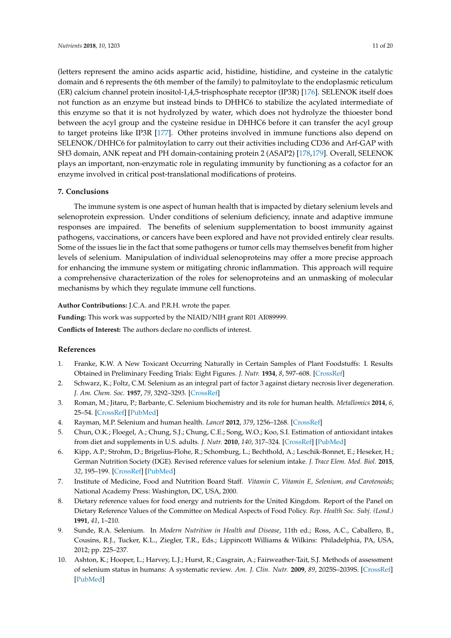(letters represent the amino acids aspartic acid, histidine, histidine, and cysteine in the catalytic domain and 6 represents the 6th member of the family) to palmitoylate to the endoplasmic reticulum (ER) calcium channel protein inositol-1,4,5-trisphosphate receptor (IP3R) [\[176\]](#page-19-10). SELENOK itself does not function as an enzyme but instead binds to DHHC6 to stabilize the acylated intermediate of this enzyme so that it is not hydrolyzed by water, which does not hydrolyze the thioester bond between the acyl group and the cysteine residue in DHHC6 before it can transfer the acyl group to target proteins like IP3R [\[177\]](#page-19-11). Other proteins involved in immune functions also depend on SELENOK/DHHC6 for palmitoylation to carry out their activities including CD36 and Arf-GAP with SH3 domain, ANK repeat and PH domain-containing protein 2 (ASAP2) [\[178](#page-19-12)[,179\]](#page-19-13). Overall, SELENOK plays an important, non-enzymatic role in regulating immunity by functioning as a cofactor for an enzyme involved in critical post-translational modifications of proteins.

## **7. Conclusions**

The immune system is one aspect of human health that is impacted by dietary selenium levels and selenoprotein expression. Under conditions of selenium deficiency, innate and adaptive immune responses are impaired. The benefits of selenium supplementation to boost immunity against pathogens, vaccinations, or cancers have been explored and have not provided entirely clear results. Some of the issues lie in the fact that some pathogens or tumor cells may themselves benefit from higher levels of selenium. Manipulation of individual selenoproteins may offer a more precise approach for enhancing the immune system or mitigating chronic inflammation. This approach will require a comprehensive characterization of the roles for selenoproteins and an unmasking of molecular mechanisms by which they regulate immune cell functions.

**Author Contributions:** J.C.A. and P.R.H. wrote the paper.

**Funding:** This work was supported by the NIAID/NIH grant R01 AI089999.

**Conflicts of Interest:** The authors declare no conflicts of interest.

## **References**

- <span id="page-10-0"></span>1. Franke, K.W. A New Toxicant Occurring Naturally in Certain Samples of Plant Foodstuffs: I. Results Obtained in Preliminary Feeding Trials: Eight Figures. *J. Nutr.* **1934**, *8*, 597–608. [\[CrossRef\]](http://dx.doi.org/10.1093/jn/8.5.597)
- <span id="page-10-1"></span>2. Schwarz, K.; Foltz, C.M. Selenium as an integral part of factor 3 against dietary necrosis liver degeneration. *J. Am. Chem. Soc.* **1957**, *79*, 3292–3293. [\[CrossRef\]](http://dx.doi.org/10.1021/ja01569a087)
- <span id="page-10-2"></span>3. Roman, M.; Jitaru, P.; Barbante, C. Selenium biochemistry and its role for human health. *Metallomics* **2014**, *6*, 25–54. [\[CrossRef\]](http://dx.doi.org/10.1039/C3MT00185G) [\[PubMed\]](http://www.ncbi.nlm.nih.gov/pubmed/24185753)
- <span id="page-10-3"></span>4. Rayman, M.P. Selenium and human health. *Lancet* **2012**, *379*, 1256–1268. [\[CrossRef\]](http://dx.doi.org/10.1016/S0140-6736(11)61452-9)
- <span id="page-10-4"></span>5. Chun, O.K.; Floegel, A.; Chung, S.J.; Chung, C.E.; Song, W.O.; Koo, S.I. Estimation of antioxidant intakes from diet and supplements in U.S. adults. *J. Nutr.* **2010**, *140*, 317–324. [\[CrossRef\]](http://dx.doi.org/10.3945/jn.109.114413) [\[PubMed\]](http://www.ncbi.nlm.nih.gov/pubmed/20032488)
- <span id="page-10-5"></span>6. Kipp, A.P.; Strohm, D.; Brigelius-Flohe, R.; Schomburg, L.; Bechthold, A.; Leschik-Bonnet, E.; Heseker, H.; German Nutrition Society (DGE). Revised reference values for selenium intake. *J. Trace Elem. Med. Biol.* **2015**, *32*, 195–199. [\[CrossRef\]](http://dx.doi.org/10.1016/j.jtemb.2015.07.005) [\[PubMed\]](http://www.ncbi.nlm.nih.gov/pubmed/26302929)
- <span id="page-10-6"></span>7. Institute of Medicine, Food and Nutrition Board Staff. *Vitamin C, Vitamin E, Selenium, and Carotenoids*; National Academy Press: Washington, DC, USA, 2000.
- <span id="page-10-7"></span>8. Dietary reference values for food energy and nutrients for the United Kingdom. Report of the Panel on Dietary Reference Values of the Committee on Medical Aspects of Food Policy. *Rep. Health Soc. Subj. (Lond.)* **1991**, *41*, 1–210.
- <span id="page-10-8"></span>9. Sunde, R.A. Selenium. In *Modern Nutrition in Health and Disease*, 11th ed.; Ross, A.C., Caballero, B., Cousins, R.J., Tucker, K.L., Ziegler, T.R., Eds.; Lippincott Williams & Wilkins: Philadelphia, PA, USA, 2012; pp. 225–237.
- <span id="page-10-9"></span>10. Ashton, K.; Hooper, L.; Harvey, L.J.; Hurst, R.; Casgrain, A.; Fairweather-Tait, S.J. Methods of assessment of selenium status in humans: A systematic review. *Am. J. Clin. Nutr.* **2009**, *89*, 2025S–2039S. [\[CrossRef\]](http://dx.doi.org/10.3945/ajcn.2009.27230F) [\[PubMed\]](http://www.ncbi.nlm.nih.gov/pubmed/19420095)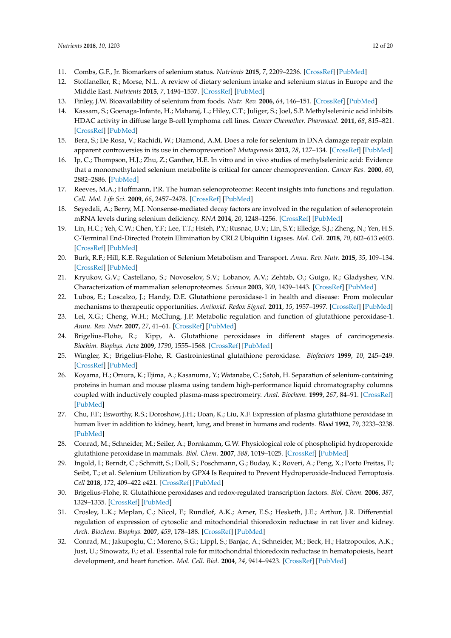- <span id="page-11-20"></span><span id="page-11-0"></span>11. Combs, G.F., Jr. Biomarkers of selenium status. *Nutrients* **2015**, *7*, 2209–2236. [\[CrossRef\]](http://dx.doi.org/10.3390/nu7042209) [\[PubMed\]](http://www.ncbi.nlm.nih.gov/pubmed/25835046)
- <span id="page-11-21"></span><span id="page-11-1"></span>12. Stoffaneller, R.; Morse, N.L. A review of dietary selenium intake and selenium status in Europe and the Middle East. *Nutrients* **2015**, *7*, 1494–1537. [\[CrossRef\]](http://dx.doi.org/10.3390/nu7031494) [\[PubMed\]](http://www.ncbi.nlm.nih.gov/pubmed/25734564)
- <span id="page-11-2"></span>13. Finley, J.W. Bioavailability of selenium from foods. *Nutr. Rev.* **2006**, *64*, 146–151. [\[CrossRef\]](http://dx.doi.org/10.1111/j.1753-4887.2006.tb00198.x) [\[PubMed\]](http://www.ncbi.nlm.nih.gov/pubmed/16572602)
- <span id="page-11-11"></span><span id="page-11-3"></span>14. Kassam, S.; Goenaga-Infante, H.; Maharaj, L.; Hiley, C.T.; Juliger, S.; Joel, S.P. Methylseleninic acid inhibits HDAC activity in diffuse large B-cell lymphoma cell lines. *Cancer Chemother. Pharmacol.* **2011**, *68*, 815–821. [\[CrossRef\]](http://dx.doi.org/10.1007/s00280-011-1649-1) [\[PubMed\]](http://www.ncbi.nlm.nih.gov/pubmed/21519842)
- <span id="page-11-13"></span><span id="page-11-12"></span><span id="page-11-4"></span>15. Bera, S.; De Rosa, V.; Rachidi, W.; Diamond, A.M. Does a role for selenium in DNA damage repair explain apparent controversies in its use in chemoprevention? *Mutagenesis* **2013**, *28*, 127–134. [\[CrossRef\]](http://dx.doi.org/10.1093/mutage/ges064) [\[PubMed\]](http://www.ncbi.nlm.nih.gov/pubmed/23204505)
- <span id="page-11-14"></span><span id="page-11-5"></span>16. Ip, C.; Thompson, H.J.; Zhu, Z.; Ganther, H.E. In vitro and in vivo studies of methylseleninic acid: Evidence that a monomethylated selenium metabolite is critical for cancer chemoprevention. *Cancer Res.* **2000**, *60*, 2882–2886. [\[PubMed\]](http://www.ncbi.nlm.nih.gov/pubmed/10850432)
- <span id="page-11-15"></span><span id="page-11-6"></span>17. Reeves, M.A.; Hoffmann, P.R. The human selenoproteome: Recent insights into functions and regulation. *Cell. Mol. Life Sci.* **2009**, *66*, 2457–2478. [\[CrossRef\]](http://dx.doi.org/10.1007/s00018-009-0032-4) [\[PubMed\]](http://www.ncbi.nlm.nih.gov/pubmed/19399585)
- <span id="page-11-7"></span>18. Seyedali, A.; Berry, M.J. Nonsense-mediated decay factors are involved in the regulation of selenoprotein mRNA levels during selenium deficiency. *RNA* **2014**, *20*, 1248–1256. [\[CrossRef\]](http://dx.doi.org/10.1261/rna.043463.113) [\[PubMed\]](http://www.ncbi.nlm.nih.gov/pubmed/24947499)
- <span id="page-11-16"></span><span id="page-11-8"></span>19. Lin, H.C.; Yeh, C.W.; Chen, Y.F.; Lee, T.T.; Hsieh, P.Y.; Rusnac, D.V.; Lin, S.Y.; Elledge, S.J.; Zheng, N.; Yen, H.S. C-Terminal End-Directed Protein Elimination by CRL2 Ubiquitin Ligases. *Mol. Cell.* **2018**, *70*, 602–613 e603. [\[CrossRef\]](http://dx.doi.org/10.1016/j.molcel.2018.04.006) [\[PubMed\]](http://www.ncbi.nlm.nih.gov/pubmed/29775578)
- <span id="page-11-9"></span>20. Burk, R.F.; Hill, K.E. Regulation of Selenium Metabolism and Transport. *Annu. Rev. Nutr.* **2015**, *35*, 109–134. [\[CrossRef\]](http://dx.doi.org/10.1146/annurev-nutr-071714-034250) [\[PubMed\]](http://www.ncbi.nlm.nih.gov/pubmed/25974694)
- <span id="page-11-10"></span>21. Kryukov, G.V.; Castellano, S.; Novoselov, S.V.; Lobanov, A.V.; Zehtab, O.; Guigo, R.; Gladyshev, V.N. Characterization of mammalian selenoproteomes. *Science* **2003**, *300*, 1439–1443. [\[CrossRef\]](http://dx.doi.org/10.1126/science.1083516) [\[PubMed\]](http://www.ncbi.nlm.nih.gov/pubmed/12775843)
- <span id="page-11-17"></span>22. Lubos, E.; Loscalzo, J.; Handy, D.E. Glutathione peroxidase-1 in health and disease: From molecular mechanisms to therapeutic opportunities. *Antioxid. Redox Signal.* **2011**, *15*, 1957–1997. [\[CrossRef\]](http://dx.doi.org/10.1089/ars.2010.3586) [\[PubMed\]](http://www.ncbi.nlm.nih.gov/pubmed/21087145)
- <span id="page-11-18"></span>23. Lei, X.G.; Cheng, W.H.; McClung, J.P. Metabolic regulation and function of glutathione peroxidase-1. *Annu. Rev. Nutr.* **2007**, *27*, 41–61. [\[CrossRef\]](http://dx.doi.org/10.1146/annurev.nutr.27.061406.093716) [\[PubMed\]](http://www.ncbi.nlm.nih.gov/pubmed/17465855)
- 24. Brigelius-Flohe, R.; Kipp, A. Glutathione peroxidases in different stages of carcinogenesis. *Biochim. Biophys. Acta* **2009**, *1790*, 1555–1568. [\[CrossRef\]](http://dx.doi.org/10.1016/j.bbagen.2009.03.006) [\[PubMed\]](http://www.ncbi.nlm.nih.gov/pubmed/19289149)
- <span id="page-11-19"></span>25. Wingler, K.; Brigelius-Flohe, R. Gastrointestinal glutathione peroxidase. *Biofactors* **1999**, *10*, 245–249. [\[CrossRef\]](http://dx.doi.org/10.1002/biof.5520100223) [\[PubMed\]](http://www.ncbi.nlm.nih.gov/pubmed/10609889)
- 26. Koyama, H.; Omura, K.; Ejima, A.; Kasanuma, Y.; Watanabe, C.; Satoh, H. Separation of selenium-containing proteins in human and mouse plasma using tandem high-performance liquid chromatography columns coupled with inductively coupled plasma-mass spectrometry. *Anal. Biochem.* **1999**, *267*, 84–91. [\[CrossRef\]](http://dx.doi.org/10.1006/abio.1998.2949) [\[PubMed\]](http://www.ncbi.nlm.nih.gov/pubmed/9918658)
- 27. Chu, F.F.; Esworthy, R.S.; Doroshow, J.H.; Doan, K.; Liu, X.F. Expression of plasma glutathione peroxidase in human liver in addition to kidney, heart, lung, and breast in humans and rodents. *Blood* **1992**, *79*, 3233–3238. [\[PubMed\]](http://www.ncbi.nlm.nih.gov/pubmed/1339300)
- 28. Conrad, M.; Schneider, M.; Seiler, A.; Bornkamm, G.W. Physiological role of phospholipid hydroperoxide glutathione peroxidase in mammals. *Biol. Chem.* **2007**, *388*, 1019–1025. [\[CrossRef\]](http://dx.doi.org/10.1515/BC.2007.130) [\[PubMed\]](http://www.ncbi.nlm.nih.gov/pubmed/17937615)
- <span id="page-11-23"></span>29. Ingold, I.; Berndt, C.; Schmitt, S.; Doll, S.; Poschmann, G.; Buday, K.; Roveri, A.; Peng, X.; Porto Freitas, F.; Seibt, T.; et al. Selenium Utilization by GPX4 Is Required to Prevent Hydroperoxide-Induced Ferroptosis. *Cell* **2018**, *172*, 409–422 e421. [\[CrossRef\]](http://dx.doi.org/10.1016/j.cell.2017.11.048) [\[PubMed\]](http://www.ncbi.nlm.nih.gov/pubmed/29290465)
- 30. Brigelius-Flohe, R. Glutathione peroxidases and redox-regulated transcription factors. *Biol. Chem.* **2006**, *387*, 1329–1335. [\[CrossRef\]](http://dx.doi.org/10.1515/BC.2006.166) [\[PubMed\]](http://www.ncbi.nlm.nih.gov/pubmed/17081103)
- 31. Crosley, L.K.; Meplan, C.; Nicol, F.; Rundlof, A.K.; Arner, E.S.; Hesketh, J.E.; Arthur, J.R. Differential regulation of expression of cytosolic and mitochondrial thioredoxin reductase in rat liver and kidney. *Arch. Biochem. Biophys.* **2007**, *459*, 178–188. [\[CrossRef\]](http://dx.doi.org/10.1016/j.abb.2006.12.029) [\[PubMed\]](http://www.ncbi.nlm.nih.gov/pubmed/17291446)
- <span id="page-11-22"></span>32. Conrad, M.; Jakupoglu, C.; Moreno, S.G.; Lippl, S.; Banjac, A.; Schneider, M.; Beck, H.; Hatzopoulos, A.K.; Just, U.; Sinowatz, F.; et al. Essential role for mitochondrial thioredoxin reductase in hematopoiesis, heart development, and heart function. *Mol. Cell. Biol.* **2004**, *24*, 9414–9423. [\[CrossRef\]](http://dx.doi.org/10.1128/MCB.24.21.9414-9423.2004) [\[PubMed\]](http://www.ncbi.nlm.nih.gov/pubmed/15485910)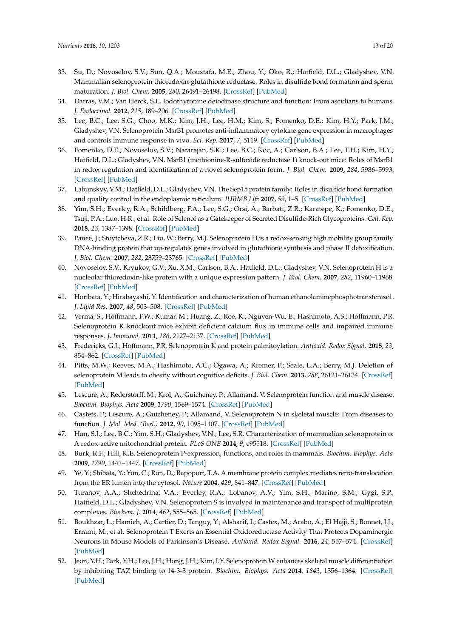- <span id="page-12-7"></span><span id="page-12-6"></span><span id="page-12-5"></span><span id="page-12-4"></span><span id="page-12-3"></span><span id="page-12-2"></span><span id="page-12-1"></span><span id="page-12-0"></span>33. Su, D.; Novoselov, S.V.; Sun, Q.A.; Moustafa, M.E.; Zhou, Y.; Oko, R.; Hatfield, D.L.; Gladyshev, V.N. Mammalian selenoprotein thioredoxin-glutathione reductase. Roles in disulfide bond formation and sperm maturation. *J. Biol. Chem.* **2005**, *280*, 26491–26498. [\[CrossRef\]](http://dx.doi.org/10.1074/jbc.M503638200) [\[PubMed\]](http://www.ncbi.nlm.nih.gov/pubmed/15901730)
- <span id="page-12-8"></span>34. Darras, V.M.; Van Herck, S.L. Iodothyronine deiodinase structure and function: From ascidians to humans. *J. Endocrinol.* **2012**, *215*, 189–206. [\[CrossRef\]](http://dx.doi.org/10.1530/JOE-12-0204) [\[PubMed\]](http://www.ncbi.nlm.nih.gov/pubmed/22825922)
- <span id="page-12-24"></span><span id="page-12-9"></span>35. Lee, B.C.; Lee, S.G.; Choo, M.K.; Kim, J.H.; Lee, H.M.; Kim, S.; Fomenko, D.E.; Kim, H.Y.; Park, J.M.; Gladyshev, V.N. Selenoprotein MsrB1 promotes anti-inflammatory cytokine gene expression in macrophages and controls immune response in vivo. *Sci. Rep.* **2017**, *7*, 5119. [\[CrossRef\]](http://dx.doi.org/10.1038/s41598-017-05230-2) [\[PubMed\]](http://www.ncbi.nlm.nih.gov/pubmed/28698597)
- <span id="page-12-21"></span><span id="page-12-10"></span>36. Fomenko, D.E.; Novoselov, S.V.; Natarajan, S.K.; Lee, B.C.; Koc, A.; Carlson, B.A.; Lee, T.H.; Kim, H.Y.; Hatfield, D.L.; Gladyshev, V.N. MsrB1 (methionine-R-sulfoxide reductase 1) knock-out mice: Roles of MsrB1 in redox regulation and identification of a novel selenoprotein form. *J. Biol. Chem.* **2009**, *284*, 5986–5993. [\[CrossRef\]](http://dx.doi.org/10.1074/jbc.M805770200) [\[PubMed\]](http://www.ncbi.nlm.nih.gov/pubmed/18990697)
- <span id="page-12-11"></span>37. Labunskyy, V.M.; Hatfield, D.L.; Gladyshev, V.N. The Sep15 protein family: Roles in disulfide bond formation and quality control in the endoplasmic reticulum. *IUBMB Life* **2007**, *59*, 1–5. [\[CrossRef\]](http://dx.doi.org/10.1080/15216540601126694) [\[PubMed\]](http://www.ncbi.nlm.nih.gov/pubmed/17365173)
- <span id="page-12-22"></span><span id="page-12-12"></span>38. Yim, S.H.; Everley, R.A.; Schildberg, F.A.; Lee, S.G.; Orsi, A.; Barbati, Z.R.; Karatepe, K.; Fomenko, D.E.; Tsuji, P.A.; Luo, H.R.; et al. Role of Selenof as a Gatekeeper of Secreted Disulfide-Rich Glycoproteins. *Cell. Rep.* **2018**, *23*, 1387–1398. [\[CrossRef\]](http://dx.doi.org/10.1016/j.celrep.2018.04.009) [\[PubMed\]](http://www.ncbi.nlm.nih.gov/pubmed/29719252)
- <span id="page-12-14"></span><span id="page-12-13"></span>39. Panee, J.; Stoytcheva, Z.R.; Liu, W.; Berry, M.J. Selenoprotein H is a redox-sensing high mobility group family DNA-binding protein that up-regulates genes involved in glutathione synthesis and phase II detoxification. *J. Biol. Chem.* **2007**, *282*, 23759–23765. [\[CrossRef\]](http://dx.doi.org/10.1074/jbc.M702267200) [\[PubMed\]](http://www.ncbi.nlm.nih.gov/pubmed/17526492)
- <span id="page-12-16"></span><span id="page-12-15"></span>40. Novoselov, S.V.; Kryukov, G.V.; Xu, X.M.; Carlson, B.A.; Hatfield, D.L.; Gladyshev, V.N. Selenoprotein H is a nucleolar thioredoxin-like protein with a unique expression pattern. *J. Biol. Chem.* **2007**, *282*, 11960–11968. [\[CrossRef\]](http://dx.doi.org/10.1074/jbc.M701605200) [\[PubMed\]](http://www.ncbi.nlm.nih.gov/pubmed/17337453)
- <span id="page-12-17"></span>41. Horibata, Y.; Hirabayashi, Y. Identification and characterization of human ethanolaminephosphotransferase1. *J. Lipid Res.* **2007**, *48*, 503–508. [\[CrossRef\]](http://dx.doi.org/10.1194/jlr.C600019-JLR200) [\[PubMed\]](http://www.ncbi.nlm.nih.gov/pubmed/17132865)
- <span id="page-12-23"></span><span id="page-12-18"></span>42. Verma, S.; Hoffmann, F.W.; Kumar, M.; Huang, Z.; Roe, K.; Nguyen-Wu, E.; Hashimoto, A.S.; Hoffmann, P.R. Selenoprotein K knockout mice exhibit deficient calcium flux in immune cells and impaired immune responses. *J. Immunol.* **2011**, *186*, 2127–2137. [\[CrossRef\]](http://dx.doi.org/10.4049/jimmunol.1002878) [\[PubMed\]](http://www.ncbi.nlm.nih.gov/pubmed/21220695)
- 43. Fredericks, G.J.; Hoffmann, P.R. Selenoprotein K and protein palmitoylation. *Antioxid. Redox Signal.* **2015**, *23*, 854–862. [\[CrossRef\]](http://dx.doi.org/10.1089/ars.2015.6375) [\[PubMed\]](http://www.ncbi.nlm.nih.gov/pubmed/26058750)
- <span id="page-12-19"></span>44. Pitts, M.W.; Reeves, M.A.; Hashimoto, A.C.; Ogawa, A.; Kremer, P.; Seale, L.A.; Berry, M.J. Deletion of selenoprotein M leads to obesity without cognitive deficits. *J. Biol. Chem.* **2013**, *288*, 26121–26134. [\[CrossRef\]](http://dx.doi.org/10.1074/jbc.M113.471235) [\[PubMed\]](http://www.ncbi.nlm.nih.gov/pubmed/23880772)
- 45. Lescure, A.; Rederstorff, M.; Krol, A.; Guicheney, P.; Allamand, V. Selenoprotein function and muscle disease. *Biochim. Biophys. Acta* **2009**, *1790*, 1569–1574. [\[CrossRef\]](http://dx.doi.org/10.1016/j.bbagen.2009.03.002) [\[PubMed\]](http://www.ncbi.nlm.nih.gov/pubmed/19285112)
- 46. Castets, P.; Lescure, A.; Guicheney, P.; Allamand, V. Selenoprotein N in skeletal muscle: From diseases to function. *J. Mol. Med. (Berl.)* **2012**, *90*, 1095–1107. [\[CrossRef\]](http://dx.doi.org/10.1007/s00109-012-0896-x) [\[PubMed\]](http://www.ncbi.nlm.nih.gov/pubmed/22527882)
- 47. Han, S.J.; Lee, B.C.; Yim, S.H.; Gladyshev, V.N.; Lee, S.R. Characterization of mammalian selenoprotein o: A redox-active mitochondrial protein. *PLoS ONE* **2014**, *9*, e95518. [\[CrossRef\]](http://dx.doi.org/10.1371/journal.pone.0095518) [\[PubMed\]](http://www.ncbi.nlm.nih.gov/pubmed/24751718)
- 48. Burk, R.F.; Hill, K.E. Selenoprotein P-expression, functions, and roles in mammals. *Biochim. Biophys. Acta* **2009**, *1790*, 1441–1447. [\[CrossRef\]](http://dx.doi.org/10.1016/j.bbagen.2009.03.026) [\[PubMed\]](http://www.ncbi.nlm.nih.gov/pubmed/19345254)
- 49. Ye, Y.; Shibata, Y.; Yun, C.; Ron, D.; Rapoport, T.A. A membrane protein complex mediates retro-translocation from the ER lumen into the cytosol. *Nature* **2004**, *429*, 841–847. [\[CrossRef\]](http://dx.doi.org/10.1038/nature02656) [\[PubMed\]](http://www.ncbi.nlm.nih.gov/pubmed/15215856)
- 50. Turanov, A.A.; Shchedrina, V.A.; Everley, R.A.; Lobanov, A.V.; Yim, S.H.; Marino, S.M.; Gygi, S.P.; Hatfield, D.L.; Gladyshev, V.N. Selenoprotein S is involved in maintenance and transport of multiprotein complexes. *Biochem. J.* **2014**, *462*, 555–565. [\[CrossRef\]](http://dx.doi.org/10.1042/BJ20140076) [\[PubMed\]](http://www.ncbi.nlm.nih.gov/pubmed/24897171)
- <span id="page-12-20"></span>51. Boukhzar, L.; Hamieh, A.; Cartier, D.; Tanguy, Y.; Alsharif, I.; Castex, M.; Arabo, A.; El Hajji, S.; Bonnet, J.J.; Errami, M.; et al. Selenoprotein T Exerts an Essential Oxidoreductase Activity That Protects Dopaminergic Neurons in Mouse Models of Parkinson's Disease. *Antioxid. Redox Signal.* **2016**, *24*, 557–574. [\[CrossRef\]](http://dx.doi.org/10.1089/ars.2015.6478) [\[PubMed\]](http://www.ncbi.nlm.nih.gov/pubmed/26866473)
- 52. Jeon, Y.H.; Park, Y.H.; Lee, J.H.; Hong, J.H.; Kim, I.Y. Selenoprotein W enhances skeletal muscle differentiation by inhibiting TAZ binding to 14-3-3 protein. *Biochim. Biophys. Acta* **2014**, *1843*, 1356–1364. [\[CrossRef\]](http://dx.doi.org/10.1016/j.bbamcr.2014.04.002) [\[PubMed\]](http://www.ncbi.nlm.nih.gov/pubmed/24726955)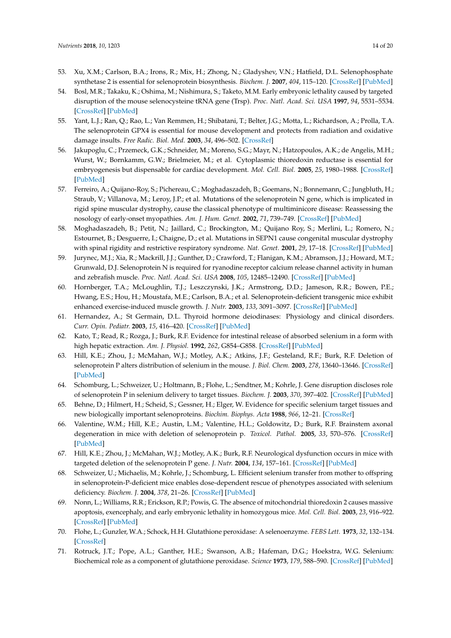- <span id="page-13-0"></span>53. Xu, X.M.; Carlson, B.A.; Irons, R.; Mix, H.; Zhong, N.; Gladyshev, V.N.; Hatfield, D.L. Selenophosphate synthetase 2 is essential for selenoprotein biosynthesis. *Biochem. J.* **2007**, *404*, 115–120. [\[CrossRef\]](http://dx.doi.org/10.1042/BJ20070165) [\[PubMed\]](http://www.ncbi.nlm.nih.gov/pubmed/17346238)
- <span id="page-13-1"></span>54. Bosl, M.R.; Takaku, K.; Oshima, M.; Nishimura, S.; Taketo, M.M. Early embryonic lethality caused by targeted disruption of the mouse selenocysteine tRNA gene (Trsp). *Proc. Natl. Acad. Sci. USA* **1997**, *94*, 5531–5534. [\[CrossRef\]](http://dx.doi.org/10.1073/pnas.94.11.5531) [\[PubMed\]](http://www.ncbi.nlm.nih.gov/pubmed/9159106)
- <span id="page-13-2"></span>55. Yant, L.J.; Ran, Q.; Rao, L.; Van Remmen, H.; Shibatani, T.; Belter, J.G.; Motta, L.; Richardson, A.; Prolla, T.A. The selenoprotein GPX4 is essential for mouse development and protects from radiation and oxidative damage insults. *Free Radic. Biol. Med.* **2003**, *34*, 496–502. [\[CrossRef\]](http://dx.doi.org/10.1016/S0891-5849(02)01360-6)
- <span id="page-13-3"></span>56. Jakupoglu, C.; Przemeck, G.K.; Schneider, M.; Moreno, S.G.; Mayr, N.; Hatzopoulos, A.K.; de Angelis, M.H.; Wurst, W.; Bornkamm, G.W.; Brielmeier, M.; et al. Cytoplasmic thioredoxin reductase is essential for embryogenesis but dispensable for cardiac development. *Mol. Cell. Biol.* **2005**, *25*, 1980–1988. [\[CrossRef\]](http://dx.doi.org/10.1128/MCB.25.5.1980-1988.2005) [\[PubMed\]](http://www.ncbi.nlm.nih.gov/pubmed/15713651)
- <span id="page-13-4"></span>57. Ferreiro, A.; Quijano-Roy, S.; Pichereau, C.; Moghadaszadeh, B.; Goemans, N.; Bonnemann, C.; Jungbluth, H.; Straub, V.; Villanova, M.; Leroy, J.P.; et al. Mutations of the selenoprotein N gene, which is implicated in rigid spine muscular dystrophy, cause the classical phenotype of multiminicore disease: Reassessing the nosology of early-onset myopathies. *Am. J. Hum. Genet.* **2002**, *71*, 739–749. [\[CrossRef\]](http://dx.doi.org/10.1086/342719) [\[PubMed\]](http://www.ncbi.nlm.nih.gov/pubmed/12192640)
- <span id="page-13-5"></span>58. Moghadaszadeh, B.; Petit, N.; Jaillard, C.; Brockington, M.; Quijano Roy, S.; Merlini, L.; Romero, N.; Estournet, B.; Desguerre, I.; Chaigne, D.; et al. Mutations in SEPN1 cause congenital muscular dystrophy with spinal rigidity and restrictive respiratory syndrome. *Nat. Genet.* **2001**, *29*, 17–18. [\[CrossRef\]](http://dx.doi.org/10.1038/ng713) [\[PubMed\]](http://www.ncbi.nlm.nih.gov/pubmed/11528383)
- <span id="page-13-6"></span>59. Jurynec, M.J.; Xia, R.; Mackrill, J.J.; Gunther, D.; Crawford, T.; Flanigan, K.M.; Abramson, J.J.; Howard, M.T.; Grunwald, D.J. Selenoprotein N is required for ryanodine receptor calcium release channel activity in human and zebrafish muscle. *Proc. Natl. Acad. Sci. USA* **2008**, *105*, 12485–12490. [\[CrossRef\]](http://dx.doi.org/10.1073/pnas.0806015105) [\[PubMed\]](http://www.ncbi.nlm.nih.gov/pubmed/18713863)
- <span id="page-13-7"></span>60. Hornberger, T.A.; McLoughlin, T.J.; Leszczynski, J.K.; Armstrong, D.D.; Jameson, R.R.; Bowen, P.E.; Hwang, E.S.; Hou, H.; Moustafa, M.E.; Carlson, B.A.; et al. Selenoprotein-deficient transgenic mice exhibit enhanced exercise-induced muscle growth. *J. Nutr.* **2003**, *133*, 3091–3097. [\[CrossRef\]](http://dx.doi.org/10.1093/jn/133.10.3091) [\[PubMed\]](http://www.ncbi.nlm.nih.gov/pubmed/14519790)
- <span id="page-13-8"></span>61. Hernandez, A.; St Germain, D.L. Thyroid hormone deiodinases: Physiology and clinical disorders. *Curr. Opin. Pediatr.* **2003**, *15*, 416–420. [\[CrossRef\]](http://dx.doi.org/10.1097/00008480-200308000-00011) [\[PubMed\]](http://www.ncbi.nlm.nih.gov/pubmed/12891056)
- <span id="page-13-9"></span>62. Kato, T.; Read, R.; Rozga, J.; Burk, R.F. Evidence for intestinal release of absorbed selenium in a form with high hepatic extraction. *Am. J. Physiol.* **1992**, *262*, G854–G858. [\[CrossRef\]](http://dx.doi.org/10.1152/ajpgi.1992.262.5.G854) [\[PubMed\]](http://www.ncbi.nlm.nih.gov/pubmed/1590396)
- <span id="page-13-10"></span>63. Hill, K.E.; Zhou, J.; McMahan, W.J.; Motley, A.K.; Atkins, J.F.; Gesteland, R.F.; Burk, R.F. Deletion of selenoprotein P alters distribution of selenium in the mouse. *J. Biol. Chem.* **2003**, *278*, 13640–13646. [\[CrossRef\]](http://dx.doi.org/10.1074/jbc.M300755200) [\[PubMed\]](http://www.ncbi.nlm.nih.gov/pubmed/12574155)
- <span id="page-13-11"></span>64. Schomburg, L.; Schweizer, U.; Holtmann, B.; Flohe, L.; Sendtner, M.; Kohrle, J. Gene disruption discloses role of selenoprotein P in selenium delivery to target tissues. *Biochem. J.* **2003**, *370*, 397–402. [\[CrossRef\]](http://dx.doi.org/10.1042/bj20021853) [\[PubMed\]](http://www.ncbi.nlm.nih.gov/pubmed/12521380)
- <span id="page-13-12"></span>65. Behne, D.; Hilmert, H.; Scheid, S.; Gessner, H.; Elger, W. Evidence for specific selenium target tissues and new biologically important selenoproteins. *Biochim. Biophys. Acta* **1988**, *966*, 12–21. [\[CrossRef\]](http://dx.doi.org/10.1016/0304-4165(88)90123-7)
- <span id="page-13-13"></span>66. Valentine, W.M.; Hill, K.E.; Austin, L.M.; Valentine, H.L.; Goldowitz, D.; Burk, R.F. Brainstem axonal degeneration in mice with deletion of selenoprotein p. *Toxicol. Pathol.* **2005**, *33*, 570–576. [\[CrossRef\]](http://dx.doi.org/10.1080/01926230500243045) [\[PubMed\]](http://www.ncbi.nlm.nih.gov/pubmed/16105800)
- <span id="page-13-14"></span>67. Hill, K.E.; Zhou, J.; McMahan, W.J.; Motley, A.K.; Burk, R.F. Neurological dysfunction occurs in mice with targeted deletion of the selenoprotein P gene. *J. Nutr.* **2004**, *134*, 157–161. [\[CrossRef\]](http://dx.doi.org/10.1093/jn/134.1.157) [\[PubMed\]](http://www.ncbi.nlm.nih.gov/pubmed/14704310)
- <span id="page-13-15"></span>68. Schweizer, U.; Michaelis, M.; Kohrle, J.; Schomburg, L. Efficient selenium transfer from mother to offspring in selenoprotein-P-deficient mice enables dose-dependent rescue of phenotypes associated with selenium deficiency. *Biochem. J.* **2004**, *378*, 21–26. [\[CrossRef\]](http://dx.doi.org/10.1042/bj20031795) [\[PubMed\]](http://www.ncbi.nlm.nih.gov/pubmed/14664694)
- <span id="page-13-16"></span>69. Nonn, L.; Williams, R.R.; Erickson, R.P.; Powis, G. The absence of mitochondrial thioredoxin 2 causes massive apoptosis, exencephaly, and early embryonic lethality in homozygous mice. *Mol. Cell. Biol.* **2003**, *23*, 916–922. [\[CrossRef\]](http://dx.doi.org/10.1128/MCB.23.3.916-922.2003) [\[PubMed\]](http://www.ncbi.nlm.nih.gov/pubmed/12529397)
- <span id="page-13-17"></span>70. Flohe, L.; Gunzler, W.A.; Schock, H.H. Glutathione peroxidase: A selenoenzyme. *FEBS Lett.* **1973**, *32*, 132–134. [\[CrossRef\]](http://dx.doi.org/10.1016/0014-5793(73)80755-0)
- <span id="page-13-18"></span>71. Rotruck, J.T.; Pope, A.L.; Ganther, H.E.; Swanson, A.B.; Hafeman, D.G.; Hoekstra, W.G. Selenium: Biochemical role as a component of glutathione peroxidase. *Science* **1973**, *179*, 588–590. [\[CrossRef\]](http://dx.doi.org/10.1126/science.179.4073.588) [\[PubMed\]](http://www.ncbi.nlm.nih.gov/pubmed/4686466)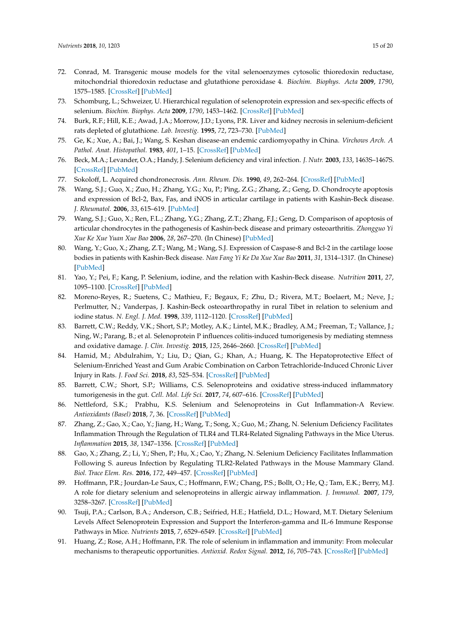- <span id="page-14-0"></span>72. Conrad, M. Transgenic mouse models for the vital selenoenzymes cytosolic thioredoxin reductase, mitochondrial thioredoxin reductase and glutathione peroxidase 4. *Biochim. Biophys. Acta* **2009**, *1790*, 1575–1585. [\[CrossRef\]](http://dx.doi.org/10.1016/j.bbagen.2009.05.001) [\[PubMed\]](http://www.ncbi.nlm.nih.gov/pubmed/19433132)
- <span id="page-14-1"></span>73. Schomburg, L.; Schweizer, U. Hierarchical regulation of selenoprotein expression and sex-specific effects of selenium. *Biochim. Biophys. Acta* **2009**, *1790*, 1453–1462. [\[CrossRef\]](http://dx.doi.org/10.1016/j.bbagen.2009.03.015) [\[PubMed\]](http://www.ncbi.nlm.nih.gov/pubmed/19328222)
- <span id="page-14-2"></span>74. Burk, R.F.; Hill, K.E.; Awad, J.A.; Morrow, J.D.; Lyons, P.R. Liver and kidney necrosis in selenium-deficient rats depleted of glutathione. *Lab. Investig.* **1995**, *72*, 723–730. [\[PubMed\]](http://www.ncbi.nlm.nih.gov/pubmed/7783430)
- <span id="page-14-3"></span>75. Ge, K.; Xue, A.; Bai, J.; Wang, S. Keshan disease-an endemic cardiomyopathy in China. *Virchows Arch. A Pathol. Anat. Histopathol.* **1983**, *401*, 1–15. [\[CrossRef\]](http://dx.doi.org/10.1007/BF00644785) [\[PubMed\]](http://www.ncbi.nlm.nih.gov/pubmed/6412443)
- <span id="page-14-4"></span>76. Beck, M.A.; Levander, O.A.; Handy, J. Selenium deficiency and viral infection. *J. Nutr.* **2003**, *133*, 1463S–1467S. [\[CrossRef\]](http://dx.doi.org/10.1093/jn/133.5.1463S) [\[PubMed\]](http://www.ncbi.nlm.nih.gov/pubmed/12730444)
- <span id="page-14-5"></span>77. Sokoloff, L. Acquired chondronecrosis. *Ann. Rheum. Dis.* **1990**, *49*, 262–264. [\[CrossRef\]](http://dx.doi.org/10.1136/ard.49.4.262) [\[PubMed\]](http://www.ncbi.nlm.nih.gov/pubmed/2187418)
- <span id="page-14-6"></span>78. Wang, S.J.; Guo, X.; Zuo, H.; Zhang, Y.G.; Xu, P.; Ping, Z.G.; Zhang, Z.; Geng, D. Chondrocyte apoptosis and expression of Bcl-2, Bax, Fas, and iNOS in articular cartilage in patients with Kashin-Beck disease. *J. Rheumatol.* **2006**, *33*, 615–619. [\[PubMed\]](http://www.ncbi.nlm.nih.gov/pubmed/16511931)
- 79. Wang, S.J.; Guo, X.; Ren, F.L.; Zhang, Y.G.; Zhang, Z.T.; Zhang, F.J.; Geng, D. Comparison of apoptosis of articular chondrocytes in the pathogenesis of Kashin-beck disease and primary osteoarthritis. *Zhongguo Yi Xue Ke Xue Yuan Xue Bao* **2006**, *28*, 267–270. (In Chinese) [\[PubMed\]](http://www.ncbi.nlm.nih.gov/pubmed/16733918)
- <span id="page-14-7"></span>80. Wang, Y.; Guo, X.; Zhang, Z.T.; Wang, M.; Wang, S.J. Expression of Caspase-8 and Bcl-2 in the cartilage loose bodies in patients with Kashin-Beck disease. *Nan Fang Yi Ke Da Xue Xue Bao* **2011**, *31*, 1314–1317. (In Chinese) [\[PubMed\]](http://www.ncbi.nlm.nih.gov/pubmed/21868312)
- <span id="page-14-8"></span>81. Yao, Y.; Pei, F.; Kang, P. Selenium, iodine, and the relation with Kashin-Beck disease. *Nutrition* **2011**, *27*, 1095–1100. [\[CrossRef\]](http://dx.doi.org/10.1016/j.nut.2011.03.002) [\[PubMed\]](http://www.ncbi.nlm.nih.gov/pubmed/21967994)
- <span id="page-14-9"></span>82. Moreno-Reyes, R.; Suetens, C.; Mathieu, F.; Begaux, F.; Zhu, D.; Rivera, M.T.; Boelaert, M.; Neve, J.; Perlmutter, N.; Vanderpas, J. Kashin-Beck osteoarthropathy in rural Tibet in relation to selenium and iodine status. *N. Engl. J. Med.* **1998**, *339*, 1112–1120. [\[CrossRef\]](http://dx.doi.org/10.1056/NEJM199810153391604) [\[PubMed\]](http://www.ncbi.nlm.nih.gov/pubmed/9770558)
- <span id="page-14-10"></span>83. Barrett, C.W.; Reddy, V.K.; Short, S.P.; Motley, A.K.; Lintel, M.K.; Bradley, A.M.; Freeman, T.; Vallance, J.; Ning, W.; Parang, B.; et al. Selenoprotein P influences colitis-induced tumorigenesis by mediating stemness and oxidative damage. *J. Clin. Investig.* **2015**, *125*, 2646–2660. [\[CrossRef\]](http://dx.doi.org/10.1172/JCI76099) [\[PubMed\]](http://www.ncbi.nlm.nih.gov/pubmed/26053663)
- <span id="page-14-11"></span>84. Hamid, M.; Abdulrahim, Y.; Liu, D.; Qian, G.; Khan, A.; Huang, K. The Hepatoprotective Effect of Selenium-Enriched Yeast and Gum Arabic Combination on Carbon Tetrachloride-Induced Chronic Liver Injury in Rats. *J. Food Sci.* **2018**, *83*, 525–534. [\[CrossRef\]](http://dx.doi.org/10.1111/1750-3841.14030) [\[PubMed\]](http://www.ncbi.nlm.nih.gov/pubmed/29350750)
- <span id="page-14-12"></span>85. Barrett, C.W.; Short, S.P.; Williams, C.S. Selenoproteins and oxidative stress-induced inflammatory tumorigenesis in the gut. *Cell. Mol. Life Sci.* **2017**, *74*, 607–616. [\[CrossRef\]](http://dx.doi.org/10.1007/s00018-016-2339-2) [\[PubMed\]](http://www.ncbi.nlm.nih.gov/pubmed/27563706)
- <span id="page-14-13"></span>86. Nettleford, S.K.; Prabhu, K.S. Selenium and Selenoproteins in Gut Inflammation-A Review. *Antioxidants (Basel)* **2018**, *7*, 36. [\[CrossRef\]](http://dx.doi.org/10.3390/antiox7030036) [\[PubMed\]](http://www.ncbi.nlm.nih.gov/pubmed/29494512)
- <span id="page-14-14"></span>87. Zhang, Z.; Gao, X.; Cao, Y.; Jiang, H.; Wang, T.; Song, X.; Guo, M.; Zhang, N. Selenium Deficiency Facilitates Inflammation Through the Regulation of TLR4 and TLR4-Related Signaling Pathways in the Mice Uterus. *Inflammation* **2015**, *38*, 1347–1356. [\[CrossRef\]](http://dx.doi.org/10.1007/s10753-014-0106-9) [\[PubMed\]](http://www.ncbi.nlm.nih.gov/pubmed/25577343)
- <span id="page-14-15"></span>88. Gao, X.; Zhang, Z.; Li, Y.; Shen, P.; Hu, X.; Cao, Y.; Zhang, N. Selenium Deficiency Facilitates Inflammation Following S. aureus Infection by Regulating TLR2-Related Pathways in the Mouse Mammary Gland. *Biol. Trace Elem. Res.* **2016**, *172*, 449–457. [\[CrossRef\]](http://dx.doi.org/10.1007/s12011-015-0614-y) [\[PubMed\]](http://www.ncbi.nlm.nih.gov/pubmed/26743867)
- <span id="page-14-16"></span>89. Hoffmann, P.R.; Jourdan-Le Saux, C.; Hoffmann, F.W.; Chang, P.S.; Bollt, O.; He, Q.; Tam, E.K.; Berry, M.J. A role for dietary selenium and selenoproteins in allergic airway inflammation. *J. Immunol.* **2007**, *179*, 3258–3267. [\[CrossRef\]](http://dx.doi.org/10.4049/jimmunol.179.5.3258) [\[PubMed\]](http://www.ncbi.nlm.nih.gov/pubmed/17709542)
- <span id="page-14-17"></span>90. Tsuji, P.A.; Carlson, B.A.; Anderson, C.B.; Seifried, H.E.; Hatfield, D.L.; Howard, M.T. Dietary Selenium Levels Affect Selenoprotein Expression and Support the Interferon-gamma and IL-6 Immune Response Pathways in Mice. *Nutrients* **2015**, *7*, 6529–6549. [\[CrossRef\]](http://dx.doi.org/10.3390/nu7085297) [\[PubMed\]](http://www.ncbi.nlm.nih.gov/pubmed/26258789)
- <span id="page-14-18"></span>91. Huang, Z.; Rose, A.H.; Hoffmann, P.R. The role of selenium in inflammation and immunity: From molecular mechanisms to therapeutic opportunities. *Antioxid. Redox Signal.* **2012**, *16*, 705–743. [\[CrossRef\]](http://dx.doi.org/10.1089/ars.2011.4145) [\[PubMed\]](http://www.ncbi.nlm.nih.gov/pubmed/21955027)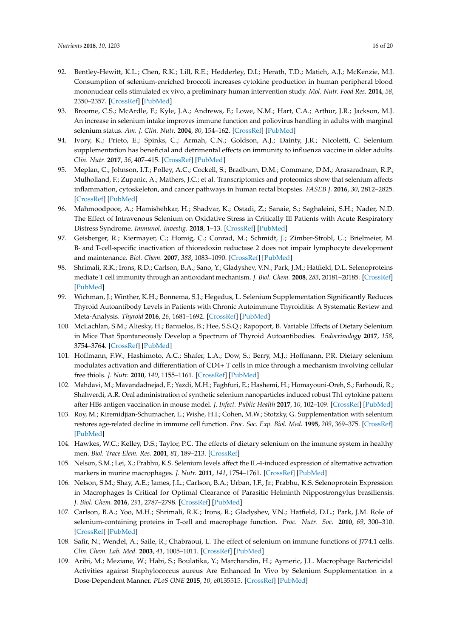- <span id="page-15-0"></span>92. Bentley-Hewitt, K.L.; Chen, R.K.; Lill, R.E.; Hedderley, D.I.; Herath, T.D.; Matich, A.J.; McKenzie, M.J. Consumption of selenium-enriched broccoli increases cytokine production in human peripheral blood mononuclear cells stimulated ex vivo, a preliminary human intervention study. *Mol. Nutr. Food Res.* **2014**, *58*, 2350–2357. [\[CrossRef\]](http://dx.doi.org/10.1002/mnfr.201400438) [\[PubMed\]](http://www.ncbi.nlm.nih.gov/pubmed/25176606)
- <span id="page-15-1"></span>93. Broome, C.S.; McArdle, F.; Kyle, J.A.; Andrews, F.; Lowe, N.M.; Hart, C.A.; Arthur, J.R.; Jackson, M.J. An increase in selenium intake improves immune function and poliovirus handling in adults with marginal selenium status. *Am. J. Clin. Nutr.* **2004**, *80*, 154–162. [\[CrossRef\]](http://dx.doi.org/10.1093/ajcn/80.1.154) [\[PubMed\]](http://www.ncbi.nlm.nih.gov/pubmed/15213043)
- <span id="page-15-2"></span>94. Ivory, K.; Prieto, E.; Spinks, C.; Armah, C.N.; Goldson, A.J.; Dainty, J.R.; Nicoletti, C. Selenium supplementation has beneficial and detrimental effects on immunity to influenza vaccine in older adults. *Clin. Nutr.* **2017**, *36*, 407–415. [\[CrossRef\]](http://dx.doi.org/10.1016/j.clnu.2015.12.003) [\[PubMed\]](http://www.ncbi.nlm.nih.gov/pubmed/26803169)
- <span id="page-15-3"></span>95. Meplan, C.; Johnson, I.T.; Polley, A.C.; Cockell, S.; Bradburn, D.M.; Commane, D.M.; Arasaradnam, R.P.; Mulholland, F.; Zupanic, A.; Mathers, J.C.; et al. Transcriptomics and proteomics show that selenium affects inflammation, cytoskeleton, and cancer pathways in human rectal biopsies. *FASEB J.* **2016**, *30*, 2812–2825. [\[CrossRef\]](http://dx.doi.org/10.1096/fj.201600251R) [\[PubMed\]](http://www.ncbi.nlm.nih.gov/pubmed/27103578)
- <span id="page-15-4"></span>96. Mahmoodpoor, A.; Hamishehkar, H.; Shadvar, K.; Ostadi, Z.; Sanaie, S.; Saghaleini, S.H.; Nader, N.D. The Effect of Intravenous Selenium on Oxidative Stress in Critically Ill Patients with Acute Respiratory Distress Syndrome. *Immunol. Investig.* **2018**, 1–13. [\[CrossRef\]](http://dx.doi.org/10.1080/08820139.2018.1496098) [\[PubMed\]](http://www.ncbi.nlm.nih.gov/pubmed/30001171)
- <span id="page-15-5"></span>97. Geisberger, R.; Kiermayer, C.; Homig, C.; Conrad, M.; Schmidt, J.; Zimber-Strobl, U.; Brielmeier, M. B- and T-cell-specific inactivation of thioredoxin reductase 2 does not impair lymphocyte development and maintenance. *Biol. Chem.* **2007**, *388*, 1083–1090. [\[CrossRef\]](http://dx.doi.org/10.1515/BC.2007.131) [\[PubMed\]](http://www.ncbi.nlm.nih.gov/pubmed/17937622)
- <span id="page-15-6"></span>98. Shrimali, R.K.; Irons, R.D.; Carlson, B.A.; Sano, Y.; Gladyshev, V.N.; Park, J.M.; Hatfield, D.L. Selenoproteins mediate T cell immunity through an antioxidant mechanism. *J. Biol. Chem.* **2008**, *283*, 20181–20185. [\[CrossRef\]](http://dx.doi.org/10.1074/jbc.M802559200) [\[PubMed\]](http://www.ncbi.nlm.nih.gov/pubmed/18487203)
- <span id="page-15-7"></span>99. Wichman, J.; Winther, K.H.; Bonnema, S.J.; Hegedus, L. Selenium Supplementation Significantly Reduces Thyroid Autoantibody Levels in Patients with Chronic Autoimmune Thyroiditis: A Systematic Review and Meta-Analysis. *Thyroid* **2016**, *26*, 1681–1692. [\[CrossRef\]](http://dx.doi.org/10.1089/thy.2016.0256) [\[PubMed\]](http://www.ncbi.nlm.nih.gov/pubmed/27702392)
- <span id="page-15-8"></span>100. McLachlan, S.M.; Aliesky, H.; Banuelos, B.; Hee, S.S.Q.; Rapoport, B. Variable Effects of Dietary Selenium in Mice That Spontaneously Develop a Spectrum of Thyroid Autoantibodies. *Endocrinology* **2017**, *158*, 3754–3764. [\[CrossRef\]](http://dx.doi.org/10.1210/en.2017-00275) [\[PubMed\]](http://www.ncbi.nlm.nih.gov/pubmed/28938453)
- <span id="page-15-9"></span>101. Hoffmann, F.W.; Hashimoto, A.C.; Shafer, L.A.; Dow, S.; Berry, M.J.; Hoffmann, P.R. Dietary selenium modulates activation and differentiation of CD4+ T cells in mice through a mechanism involving cellular free thiols. *J. Nutr.* **2010**, *140*, 1155–1161. [\[CrossRef\]](http://dx.doi.org/10.3945/jn.109.120725) [\[PubMed\]](http://www.ncbi.nlm.nih.gov/pubmed/20375261)
- <span id="page-15-10"></span>102. Mahdavi, M.; Mavandadnejad, F.; Yazdi, M.H.; Faghfuri, E.; Hashemi, H.; Homayouni-Oreh, S.; Farhoudi, R.; Shahverdi, A.R. Oral administration of synthetic selenium nanoparticles induced robust Th1 cytokine pattern after HBs antigen vaccination in mouse model. *J. Infect. Public Health* **2017**, *10*, 102–109. [\[CrossRef\]](http://dx.doi.org/10.1016/j.jiph.2016.02.006) [\[PubMed\]](http://www.ncbi.nlm.nih.gov/pubmed/27026241)
- <span id="page-15-11"></span>103. Roy, M.; Kiremidjian-Schumacher, L.; Wishe, H.I.; Cohen, M.W.; Stotzky, G. Supplementation with selenium restores age-related decline in immune cell function. *Proc. Soc. Exp. Biol. Med.* **1995**, *209*, 369–375. [\[CrossRef\]](http://dx.doi.org/10.3181/00379727-209-43909) [\[PubMed\]](http://www.ncbi.nlm.nih.gov/pubmed/7638244)
- <span id="page-15-12"></span>104. Hawkes, W.C.; Kelley, D.S.; Taylor, P.C. The effects of dietary selenium on the immune system in healthy men. *Biol. Trace Elem. Res.* **2001**, *81*, 189–213. [\[CrossRef\]](http://dx.doi.org/10.1385/BTER:81:3:189)
- <span id="page-15-13"></span>105. Nelson, S.M.; Lei, X.; Prabhu, K.S. Selenium levels affect the IL-4-induced expression of alternative activation markers in murine macrophages. *J. Nutr.* **2011**, *141*, 1754–1761. [\[CrossRef\]](http://dx.doi.org/10.3945/jn.111.141176) [\[PubMed\]](http://www.ncbi.nlm.nih.gov/pubmed/21775527)
- <span id="page-15-14"></span>106. Nelson, S.M.; Shay, A.E.; James, J.L.; Carlson, B.A.; Urban, J.F., Jr.; Prabhu, K.S. Selenoprotein Expression in Macrophages Is Critical for Optimal Clearance of Parasitic Helminth Nippostrongylus brasiliensis. *J. Biol. Chem.* **2016**, *291*, 2787–2798. [\[CrossRef\]](http://dx.doi.org/10.1074/jbc.M115.684738) [\[PubMed\]](http://www.ncbi.nlm.nih.gov/pubmed/26644468)
- <span id="page-15-15"></span>107. Carlson, B.A.; Yoo, M.H.; Shrimali, R.K.; Irons, R.; Gladyshev, V.N.; Hatfield, D.L.; Park, J.M. Role of selenium-containing proteins in T-cell and macrophage function. *Proc. Nutr. Soc.* **2010**, *69*, 300–310. [\[CrossRef\]](http://dx.doi.org/10.1017/S002966511000176X) [\[PubMed\]](http://www.ncbi.nlm.nih.gov/pubmed/20576203)
- <span id="page-15-16"></span>108. Safir, N.; Wendel, A.; Saile, R.; Chabraoui, L. The effect of selenium on immune functions of J774.1 cells. *Clin. Chem. Lab. Med.* **2003**, *41*, 1005–1011. [\[CrossRef\]](http://dx.doi.org/10.1515/CCLM.2003.154) [\[PubMed\]](http://www.ncbi.nlm.nih.gov/pubmed/12964805)
- <span id="page-15-17"></span>109. Aribi, M.; Meziane, W.; Habi, S.; Boulatika, Y.; Marchandin, H.; Aymeric, J.L. Macrophage Bactericidal Activities against Staphylococcus aureus Are Enhanced In Vivo by Selenium Supplementation in a Dose-Dependent Manner. *PLoS ONE* **2015**, *10*, e0135515. [\[CrossRef\]](http://dx.doi.org/10.1371/journal.pone.0135515) [\[PubMed\]](http://www.ncbi.nlm.nih.gov/pubmed/26340099)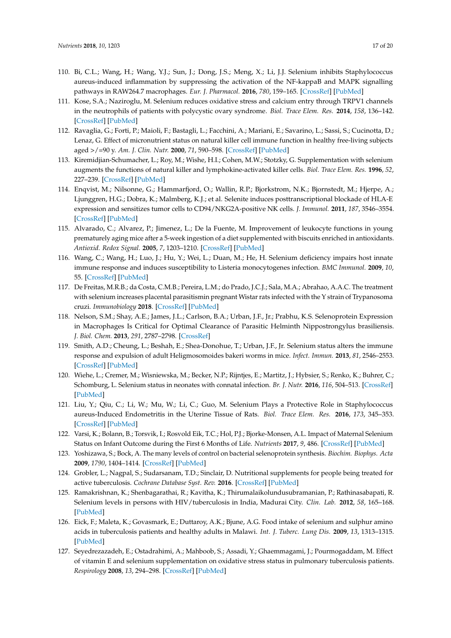- <span id="page-16-0"></span>110. Bi, C.L.; Wang, H.; Wang, Y.J.; Sun, J.; Dong, J.S.; Meng, X.; Li, J.J. Selenium inhibits Staphylococcus aureus-induced inflammation by suppressing the activation of the NF-kappaB and MAPK signalling pathways in RAW264.7 macrophages. *Eur. J. Pharmacol.* **2016**, *780*, 159–165. [\[CrossRef\]](http://dx.doi.org/10.1016/j.ejphar.2016.03.044) [\[PubMed\]](http://www.ncbi.nlm.nih.gov/pubmed/27036486)
- <span id="page-16-1"></span>111. Kose, S.A.; Naziroglu, M. Selenium reduces oxidative stress and calcium entry through TRPV1 channels in the neutrophils of patients with polycystic ovary syndrome. *Biol. Trace Elem. Res.* **2014**, *158*, 136–142. [\[CrossRef\]](http://dx.doi.org/10.1007/s12011-014-9929-3) [\[PubMed\]](http://www.ncbi.nlm.nih.gov/pubmed/24634287)
- <span id="page-16-2"></span>112. Ravaglia, G.; Forti, P.; Maioli, F.; Bastagli, L.; Facchini, A.; Mariani, E.; Savarino, L.; Sassi, S.; Cucinotta, D.; Lenaz, G. Effect of micronutrient status on natural killer cell immune function in healthy free-living subjects aged >/=90 y. *Am. J. Clin. Nutr.* **2000**, *71*, 590–598. [\[CrossRef\]](http://dx.doi.org/10.1093/ajcn/71.2.590) [\[PubMed\]](http://www.ncbi.nlm.nih.gov/pubmed/10648276)
- <span id="page-16-3"></span>113. Kiremidjian-Schumacher, L.; Roy, M.; Wishe, H.I.; Cohen, M.W.; Stotzky, G. Supplementation with selenium augments the functions of natural killer and lymphokine-activated killer cells. *Biol. Trace Elem. Res.* **1996**, *52*, 227–239. [\[CrossRef\]](http://dx.doi.org/10.1007/BF02789164) [\[PubMed\]](http://www.ncbi.nlm.nih.gov/pubmed/8811280)
- <span id="page-16-4"></span>114. Enqvist, M.; Nilsonne, G.; Hammarfjord, O.; Wallin, R.P.; Bjorkstrom, N.K.; Bjornstedt, M.; Hjerpe, A.; Ljunggren, H.G.; Dobra, K.; Malmberg, K.J.; et al. Selenite induces posttranscriptional blockade of HLA-E expression and sensitizes tumor cells to CD94/NKG2A-positive NK cells. *J. Immunol.* **2011**, *187*, 3546–3554. [\[CrossRef\]](http://dx.doi.org/10.4049/jimmunol.1100610) [\[PubMed\]](http://www.ncbi.nlm.nih.gov/pubmed/21890659)
- <span id="page-16-5"></span>115. Alvarado, C.; Alvarez, P.; Jimenez, L.; De la Fuente, M. Improvement of leukocyte functions in young prematurely aging mice after a 5-week ingestion of a diet supplemented with biscuits enriched in antioxidants. *Antioxid. Redox Signal.* **2005**, *7*, 1203–1210. [\[CrossRef\]](http://dx.doi.org/10.1089/ars.2005.7.1203) [\[PubMed\]](http://www.ncbi.nlm.nih.gov/pubmed/16115024)
- <span id="page-16-6"></span>116. Wang, C.; Wang, H.; Luo, J.; Hu, Y.; Wei, L.; Duan, M.; He, H. Selenium deficiency impairs host innate immune response and induces susceptibility to Listeria monocytogenes infection. *BMC Immunol.* **2009**, *10*, 55. [\[CrossRef\]](http://dx.doi.org/10.1186/1471-2172-10-55) [\[PubMed\]](http://www.ncbi.nlm.nih.gov/pubmed/19852827)
- <span id="page-16-7"></span>117. De Freitas, M.R.B.; da Costa, C.M.B.; Pereira, L.M.; do Prado, J.C.J.; Sala, M.A.; Abrahao, A.A.C. The treatment with selenium increases placental parasitismin pregnant Wistar rats infected with the Y strain of Trypanosoma cruzi. *Immunobiology* **2018**. [\[CrossRef\]](http://dx.doi.org/10.1016/j.imbio.2018.06.001) [\[PubMed\]](http://www.ncbi.nlm.nih.gov/pubmed/29950281)
- <span id="page-16-8"></span>118. Nelson, S.M.; Shay, A.E.; James, J.L.; Carlson, B.A.; Urban, J.F., Jr.; Prabhu, K.S. Selenoprotein Expression in Macrophages Is Critical for Optimal Clearance of Parasitic Helminth Nippostrongylus brasiliensis. *J. Biol. Chem.* **2013**, *291*, 2787–2798. [\[CrossRef\]](http://dx.doi.org/10.1074/jbc.M115.684738)
- <span id="page-16-9"></span>119. Smith, A.D.; Cheung, L.; Beshah, E.; Shea-Donohue, T.; Urban, J.F., Jr. Selenium status alters the immune response and expulsion of adult Heligmosomoides bakeri worms in mice. *Infect. Immun.* **2013**, *81*, 2546–2553. [\[CrossRef\]](http://dx.doi.org/10.1128/IAI.01047-12) [\[PubMed\]](http://www.ncbi.nlm.nih.gov/pubmed/23649095)
- <span id="page-16-10"></span>120. Wiehe, L.; Cremer, M.; Wisniewska, M.; Becker, N.P.; Rijntjes, E.; Martitz, J.; Hybsier, S.; Renko, K.; Buhrer, C.; Schomburg, L. Selenium status in neonates with connatal infection. *Br. J. Nutr.* **2016**, *116*, 504–513. [\[CrossRef\]](http://dx.doi.org/10.1017/S0007114516002208) [\[PubMed\]](http://www.ncbi.nlm.nih.gov/pubmed/27267586)
- 121. Liu, Y.; Qiu, C.; Li, W.; Mu, W.; Li, C.; Guo, M. Selenium Plays a Protective Role in Staphylococcus aureus-Induced Endometritis in the Uterine Tissue of Rats. *Biol. Trace Elem. Res.* **2016**, *173*, 345–353. [\[CrossRef\]](http://dx.doi.org/10.1007/s12011-016-0659-6) [\[PubMed\]](http://www.ncbi.nlm.nih.gov/pubmed/26920733)
- <span id="page-16-11"></span>122. Varsi, K.; Bolann, B.; Torsvik, I.; Rosvold Eik, T.C.; Hol, P.J.; Bjorke-Monsen, A.L. Impact of Maternal Selenium Status on Infant Outcome during the First 6 Months of Life. *Nutrients* **2017**, *9*, 486. [\[CrossRef\]](http://dx.doi.org/10.3390/nu9050486) [\[PubMed\]](http://www.ncbi.nlm.nih.gov/pubmed/28492511)
- <span id="page-16-12"></span>123. Yoshizawa, S.; Bock, A. The many levels of control on bacterial selenoprotein synthesis. *Biochim. Biophys. Acta* **2009**, *1790*, 1404–1414. [\[CrossRef\]](http://dx.doi.org/10.1016/j.bbagen.2009.03.010) [\[PubMed\]](http://www.ncbi.nlm.nih.gov/pubmed/19328835)
- <span id="page-16-13"></span>124. Grobler, L.; Nagpal, S.; Sudarsanam, T.D.; Sinclair, D. Nutritional supplements for people being treated for active tuberculosis. *Cochrane Database Syst. Rev.* **2016**. [\[CrossRef\]](http://dx.doi.org/10.1002/14651858.CD006086.pub4) [\[PubMed\]](http://www.ncbi.nlm.nih.gov/pubmed/27355911)
- <span id="page-16-14"></span>125. Ramakrishnan, K.; Shenbagarathai, R.; Kavitha, K.; Thirumalaikolundusubramanian, P.; Rathinasabapati, R. Selenium levels in persons with HIV/tuberculosis in India, Madurai City. *Clin. Lab.* **2012**, *58*, 165–168. [\[PubMed\]](http://www.ncbi.nlm.nih.gov/pubmed/22372360)
- <span id="page-16-15"></span>126. Eick, F.; Maleta, K.; Govasmark, E.; Duttaroy, A.K.; Bjune, A.G. Food intake of selenium and sulphur amino acids in tuberculosis patients and healthy adults in Malawi. *Int. J. Tuberc. Lung Dis.* **2009**, *13*, 1313–1315. [\[PubMed\]](http://www.ncbi.nlm.nih.gov/pubmed/19793440)
- <span id="page-16-16"></span>127. Seyedrezazadeh, E.; Ostadrahimi, A.; Mahboob, S.; Assadi, Y.; Ghaemmagami, J.; Pourmogaddam, M. Effect of vitamin E and selenium supplementation on oxidative stress status in pulmonary tuberculosis patients. *Respirology* **2008**, *13*, 294–298. [\[CrossRef\]](http://dx.doi.org/10.1111/j.1440-1843.2007.01200.x) [\[PubMed\]](http://www.ncbi.nlm.nih.gov/pubmed/18339032)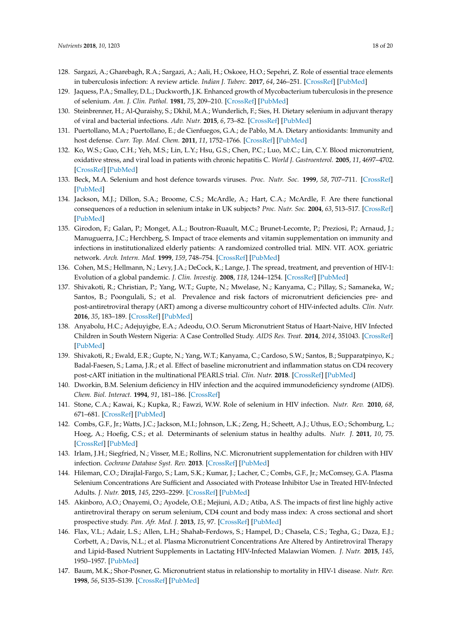- <span id="page-17-0"></span>128. Sargazi, A.; Gharebagh, R.A.; Sargazi, A.; Aali, H.; Oskoee, H.O.; Sepehri, Z. Role of essential trace elements in tuberculosis infection: A review article. *Indian J. Tuberc.* **2017**, *64*, 246–251. [\[CrossRef\]](http://dx.doi.org/10.1016/j.ijtb.2017.03.003) [\[PubMed\]](http://www.ncbi.nlm.nih.gov/pubmed/28941847)
- <span id="page-17-1"></span>129. Jaquess, P.A.; Smalley, D.L.; Duckworth, J.K. Enhanced growth of Mycobacterium tuberculosis in the presence of selenium. *Am. J. Clin. Pathol.* **1981**, *75*, 209–210. [\[CrossRef\]](http://dx.doi.org/10.1093/ajcp/75.2.209) [\[PubMed\]](http://www.ncbi.nlm.nih.gov/pubmed/6781331)
- <span id="page-17-2"></span>130. Steinbrenner, H.; Al-Quraishy, S.; Dkhil, M.A.; Wunderlich, F.; Sies, H. Dietary selenium in adjuvant therapy of viral and bacterial infections. *Adv. Nutr.* **2015**, *6*, 73–82. [\[CrossRef\]](http://dx.doi.org/10.3945/an.114.007575) [\[PubMed\]](http://www.ncbi.nlm.nih.gov/pubmed/25593145)
- <span id="page-17-3"></span>131. Puertollano, M.A.; Puertollano, E.; de Cienfuegos, G.A.; de Pablo, M.A. Dietary antioxidants: Immunity and host defense. *Curr. Top. Med. Chem.* **2011**, *11*, 1752–1766. [\[CrossRef\]](http://dx.doi.org/10.2174/156802611796235107) [\[PubMed\]](http://www.ncbi.nlm.nih.gov/pubmed/21506934)
- <span id="page-17-4"></span>132. Ko, W.S.; Guo, C.H.; Yeh, M.S.; Lin, L.Y.; Hsu, G.S.; Chen, P.C.; Luo, M.C.; Lin, C.Y. Blood micronutrient, oxidative stress, and viral load in patients with chronic hepatitis C. *World J. Gastroenterol.* **2005**, *11*, 4697–4702. [\[CrossRef\]](http://dx.doi.org/10.3748/wjg.v11.i30.4697) [\[PubMed\]](http://www.ncbi.nlm.nih.gov/pubmed/16094713)
- <span id="page-17-5"></span>133. Beck, M.A. Selenium and host defence towards viruses. *Proc. Nutr. Soc.* **1999**, *58*, 707–711. [\[CrossRef\]](http://dx.doi.org/10.1017/S0029665199000920) [\[PubMed\]](http://www.ncbi.nlm.nih.gov/pubmed/10604206)
- <span id="page-17-6"></span>134. Jackson, M.J.; Dillon, S.A.; Broome, C.S.; McArdle, A.; Hart, C.A.; McArdle, F. Are there functional consequences of a reduction in selenium intake in UK subjects? *Proc. Nutr. Soc.* **2004**, *63*, 513–517. [\[CrossRef\]](http://dx.doi.org/10.1079/PNS2004382) [\[PubMed\]](http://www.ncbi.nlm.nih.gov/pubmed/15831122)
- <span id="page-17-7"></span>135. Girodon, F.; Galan, P.; Monget, A.L.; Boutron-Ruault, M.C.; Brunet-Lecomte, P.; Preziosi, P.; Arnaud, J.; Manuguerra, J.C.; Herchberg, S. Impact of trace elements and vitamin supplementation on immunity and infections in institutionalized elderly patients: A randomized controlled trial. MIN. VIT. AOX. geriatric network. *Arch. Intern. Med.* **1999**, *159*, 748–754. [\[CrossRef\]](http://dx.doi.org/10.1001/archinte.159.7.748) [\[PubMed\]](http://www.ncbi.nlm.nih.gov/pubmed/10218756)
- <span id="page-17-8"></span>136. Cohen, M.S.; Hellmann, N.; Levy, J.A.; DeCock, K.; Lange, J. The spread, treatment, and prevention of HIV-1: Evolution of a global pandemic. *J. Clin. Investig.* **2008**, *118*, 1244–1254. [\[CrossRef\]](http://dx.doi.org/10.1172/JCI34706) [\[PubMed\]](http://www.ncbi.nlm.nih.gov/pubmed/18382737)
- <span id="page-17-9"></span>137. Shivakoti, R.; Christian, P.; Yang, W.T.; Gupte, N.; Mwelase, N.; Kanyama, C.; Pillay, S.; Samaneka, W.; Santos, B.; Poongulali, S.; et al. Prevalence and risk factors of micronutrient deficiencies pre- and post-antiretroviral therapy (ART) among a diverse multicountry cohort of HIV-infected adults. *Clin. Nutr.* **2016**, *35*, 183–189. [\[CrossRef\]](http://dx.doi.org/10.1016/j.clnu.2015.02.002) [\[PubMed\]](http://www.ncbi.nlm.nih.gov/pubmed/25703452)
- <span id="page-17-10"></span>138. Anyabolu, H.C.; Adejuyigbe, E.A.; Adeodu, O.O. Serum Micronutrient Status of Haart-Naive, HIV Infected Children in South Western Nigeria: A Case Controlled Study. *AIDS Res. Treat.* **2014**, *2014*, 351043. [\[CrossRef\]](http://dx.doi.org/10.1155/2014/351043) [\[PubMed\]](http://www.ncbi.nlm.nih.gov/pubmed/25180086)
- <span id="page-17-11"></span>139. Shivakoti, R.; Ewald, E.R.; Gupte, N.; Yang, W.T.; Kanyama, C.; Cardoso, S.W.; Santos, B.; Supparatpinyo, K.; Badal-Faesen, S.; Lama, J.R.; et al. Effect of baseline micronutrient and inflammation status on CD4 recovery post-cART initiation in the multinational PEARLS trial. *Clin. Nutr.* **2018**. [\[CrossRef\]](http://dx.doi.org/10.1016/j.clnu.2018.05.014) [\[PubMed\]](http://www.ncbi.nlm.nih.gov/pubmed/29885777)
- <span id="page-17-12"></span>140. Dworkin, B.M. Selenium deficiency in HIV infection and the acquired immunodeficiency syndrome (AIDS). *Chem. Biol. Interact.* **1994**, *91*, 181–186. [\[CrossRef\]](http://dx.doi.org/10.1016/0009-2797(94)90038-8)
- <span id="page-17-13"></span>141. Stone, C.A.; Kawai, K.; Kupka, R.; Fawzi, W.W. Role of selenium in HIV infection. *Nutr. Rev.* **2010**, *68*, 671–681. [\[CrossRef\]](http://dx.doi.org/10.1111/j.1753-4887.2010.00337.x) [\[PubMed\]](http://www.ncbi.nlm.nih.gov/pubmed/20961297)
- <span id="page-17-14"></span>142. Combs, G.F., Jr.; Watts, J.C.; Jackson, M.I.; Johnson, L.K.; Zeng, H.; Scheett, A.J.; Uthus, E.O.; Schomburg, L.; Hoeg, A.; Hoefig, C.S.; et al. Determinants of selenium status in healthy adults. *Nutr. J.* **2011**, *10*, 75. [\[CrossRef\]](http://dx.doi.org/10.1186/1475-2891-10-75) [\[PubMed\]](http://www.ncbi.nlm.nih.gov/pubmed/21767397)
- <span id="page-17-15"></span>143. Irlam, J.H.; Siegfried, N.; Visser, M.E.; Rollins, N.C. Micronutrient supplementation for children with HIV infection. *Cochrane Database Syst. Rev.* **2013**. [\[CrossRef\]](http://dx.doi.org/10.1002/14651858.CD010666) [\[PubMed\]](http://www.ncbi.nlm.nih.gov/pubmed/24114375)
- <span id="page-17-16"></span>144. Hileman, C.O.; Dirajlal-Fargo, S.; Lam, S.K.; Kumar, J.; Lacher, C.; Combs, G.F., Jr.; McComsey, G.A. Plasma Selenium Concentrations Are Sufficient and Associated with Protease Inhibitor Use in Treated HIV-Infected Adults. *J. Nutr.* **2015**, *145*, 2293–2299. [\[CrossRef\]](http://dx.doi.org/10.3945/jn.115.214577) [\[PubMed\]](http://www.ncbi.nlm.nih.gov/pubmed/26269240)
- <span id="page-17-17"></span>145. Akinboro, A.O.; Onayemi, O.; Ayodele, O.E.; Mejiuni, A.D.; Atiba, A.S. The impacts of first line highly active antiretroviral therapy on serum selenium, CD4 count and body mass index: A cross sectional and short prospective study. *Pan. Afr. Med. J.* **2013**, *15*, 97. [\[CrossRef\]](http://dx.doi.org/10.11604/pamj.2013.15.97.2524) [\[PubMed\]](http://www.ncbi.nlm.nih.gov/pubmed/24198891)
- <span id="page-17-18"></span>146. Flax, V.L.; Adair, L.S.; Allen, L.H.; Shahab-Ferdows, S.; Hampel, D.; Chasela, C.S.; Tegha, G.; Daza, E.J.; Corbett, A.; Davis, N.L.; et al. Plasma Micronutrient Concentrations Are Altered by Antiretroviral Therapy and Lipid-Based Nutrient Supplements in Lactating HIV-Infected Malawian Women. *J. Nutr.* **2015**, *145*, 1950–1957. [\[PubMed\]](http://www.ncbi.nlm.nih.gov/pubmed/26156797)
- <span id="page-17-19"></span>147. Baum, M.K.; Shor-Posner, G. Micronutrient status in relationship to mortality in HIV-1 disease. *Nutr. Rev.* **1998**, *56*, S135–S139. [\[CrossRef\]](http://dx.doi.org/10.1111/j.1753-4887.1998.tb01631.x) [\[PubMed\]](http://www.ncbi.nlm.nih.gov/pubmed/9481135)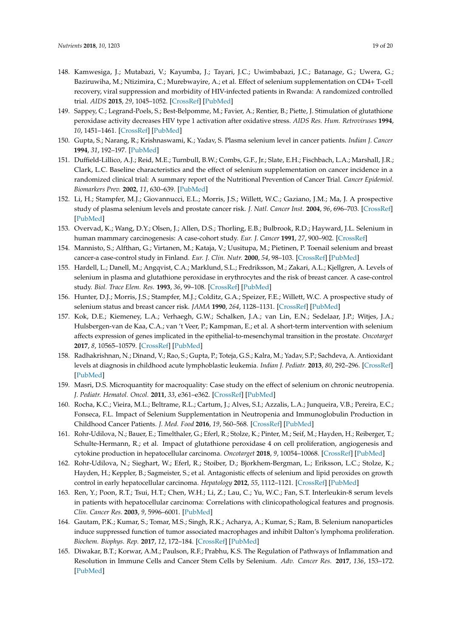- <span id="page-18-0"></span>148. Kamwesiga, J.; Mutabazi, V.; Kayumba, J.; Tayari, J.C.; Uwimbabazi, J.C.; Batanage, G.; Uwera, G.; Baziruwiha, M.; Ntizimira, C.; Murebwayire, A.; et al. Effect of selenium supplementation on CD4+ T-cell recovery, viral suppression and morbidity of HIV-infected patients in Rwanda: A randomized controlled trial. *AIDS* **2015**, *29*, 1045–1052. [\[CrossRef\]](http://dx.doi.org/10.1097/QAD.0000000000000673) [\[PubMed\]](http://www.ncbi.nlm.nih.gov/pubmed/25870994)
- <span id="page-18-1"></span>149. Sappey, C.; Legrand-Poels, S.; Best-Belpomme, M.; Favier, A.; Rentier, B.; Piette, J. Stimulation of glutathione peroxidase activity decreases HIV type 1 activation after oxidative stress. *AIDS Res. Hum. Retroviruses* **1994**, *10*, 1451–1461. [\[CrossRef\]](http://dx.doi.org/10.1089/aid.1994.10.1451) [\[PubMed\]](http://www.ncbi.nlm.nih.gov/pubmed/7888200)
- <span id="page-18-2"></span>150. Gupta, S.; Narang, R.; Krishnaswami, K.; Yadav, S. Plasma selenium level in cancer patients. *Indian J. Cancer* **1994**, *31*, 192–197. [\[PubMed\]](http://www.ncbi.nlm.nih.gov/pubmed/8557298)
- 151. Duffield-Lillico, A.J.; Reid, M.E.; Turnbull, B.W.; Combs, G.F., Jr.; Slate, E.H.; Fischbach, L.A.; Marshall, J.R.; Clark, L.C. Baseline characteristics and the effect of selenium supplementation on cancer incidence in a randomized clinical trial: A summary report of the Nutritional Prevention of Cancer Trial. *Cancer Epidemiol. Biomarkers Prev.* **2002**, *11*, 630–639. [\[PubMed\]](http://www.ncbi.nlm.nih.gov/pubmed/12101110)
- <span id="page-18-3"></span>152. Li, H.; Stampfer, M.J.; Giovannucci, E.L.; Morris, J.S.; Willett, W.C.; Gaziano, J.M.; Ma, J. A prospective study of plasma selenium levels and prostate cancer risk. *J. Natl. Cancer Inst.* **2004**, *96*, 696–703. [\[CrossRef\]](http://dx.doi.org/10.1093/jnci/djh125) [\[PubMed\]](http://www.ncbi.nlm.nih.gov/pubmed/15126606)
- <span id="page-18-4"></span>153. Overvad, K.; Wang, D.Y.; Olsen, J.; Allen, D.S.; Thorling, E.B.; Bulbrook, R.D.; Hayward, J.L. Selenium in human mammary carcinogenesis: A case-cohort study. *Eur. J. Cancer* **1991**, *27*, 900–902. [\[CrossRef\]](http://dx.doi.org/10.1016/0277-5379(91)90143-2)
- 154. Mannisto, S.; Alfthan, G.; Virtanen, M.; Kataja, V.; Uusitupa, M.; Pietinen, P. Toenail selenium and breast cancer-a case-control study in Finland. *Eur. J. Clin. Nutr.* **2000**, *54*, 98–103. [\[CrossRef\]](http://dx.doi.org/10.1038/sj.ejcn.1600902) [\[PubMed\]](http://www.ncbi.nlm.nih.gov/pubmed/10694779)
- 155. Hardell, L.; Danell, M.; Angqvist, C.A.; Marklund, S.L.; Fredriksson, M.; Zakari, A.L.; Kjellgren, A. Levels of selenium in plasma and glutathione peroxidase in erythrocytes and the risk of breast cancer. A case-control study. *Biol. Trace Elem. Res.* **1993**, *36*, 99–108. [\[CrossRef\]](http://dx.doi.org/10.1007/BF02783168) [\[PubMed\]](http://www.ncbi.nlm.nih.gov/pubmed/7681314)
- <span id="page-18-5"></span>156. Hunter, D.J.; Morris, J.S.; Stampfer, M.J.; Colditz, G.A.; Speizer, F.E.; Willett, W.C. A prospective study of selenium status and breast cancer risk. *JAMA* **1990**, *264*, 1128–1131. [\[CrossRef\]](http://dx.doi.org/10.1001/jama.1990.03450090064026) [\[PubMed\]](http://www.ncbi.nlm.nih.gov/pubmed/2384937)
- <span id="page-18-6"></span>157. Kok, D.E.; Kiemeney, L.A.; Verhaegh, G.W.; Schalken, J.A.; van Lin, E.N.; Sedelaar, J.P.; Witjes, J.A.; Hulsbergen-van de Kaa, C.A.; van 't Veer, P.; Kampman, E.; et al. A short-term intervention with selenium affects expression of genes implicated in the epithelial-to-mesenchymal transition in the prostate. *Oncotarget* **2017**, *8*, 10565–10579. [\[CrossRef\]](http://dx.doi.org/10.18632/oncotarget.14551) [\[PubMed\]](http://www.ncbi.nlm.nih.gov/pubmed/28076331)
- <span id="page-18-7"></span>158. Radhakrishnan, N.; Dinand, V.; Rao, S.; Gupta, P.; Toteja, G.S.; Kalra, M.; Yadav, S.P.; Sachdeva, A. Antioxidant levels at diagnosis in childhood acute lymphoblastic leukemia. *Indian J. Pediatr.* **2013**, *80*, 292–296. [\[CrossRef\]](http://dx.doi.org/10.1007/s12098-012-0892-8) [\[PubMed\]](http://www.ncbi.nlm.nih.gov/pubmed/23188708)
- <span id="page-18-8"></span>159. Masri, D.S. Microquantity for macroquality: Case study on the effect of selenium on chronic neutropenia. *J. Pediatr. Hematol. Oncol.* **2011**, *33*, e361–e362. [\[CrossRef\]](http://dx.doi.org/10.1097/MPH.0b013e31822d4d39) [\[PubMed\]](http://www.ncbi.nlm.nih.gov/pubmed/22042286)
- <span id="page-18-9"></span>160. Rocha, K.C.; Vieira, M.L.; Beltrame, R.L.; Cartum, J.; Alves, S.I.; Azzalis, L.A.; Junqueira, V.B.; Pereira, E.C.; Fonseca, F.L. Impact of Selenium Supplementation in Neutropenia and Immunoglobulin Production in Childhood Cancer Patients. *J. Med. Food* **2016**, *19*, 560–568. [\[CrossRef\]](http://dx.doi.org/10.1089/jmf.2015.0145) [\[PubMed\]](http://www.ncbi.nlm.nih.gov/pubmed/27266340)
- <span id="page-18-10"></span>161. Rohr-Udilova, N.; Bauer, E.; Timelthaler, G.; Eferl, R.; Stolze, K.; Pinter, M.; Seif, M.; Hayden, H.; Reiberger, T.; Schulte-Hermann, R.; et al. Impact of glutathione peroxidase 4 on cell proliferation, angiogenesis and cytokine production in hepatocellular carcinoma. *Oncotarget* **2018**, *9*, 10054–10068. [\[CrossRef\]](http://dx.doi.org/10.18632/oncotarget.24300) [\[PubMed\]](http://www.ncbi.nlm.nih.gov/pubmed/29515790)
- <span id="page-18-11"></span>162. Rohr-Udilova, N.; Sieghart, W.; Eferl, R.; Stoiber, D.; Bjorkhem-Bergman, L.; Eriksson, L.C.; Stolze, K.; Hayden, H.; Keppler, B.; Sagmeister, S.; et al. Antagonistic effects of selenium and lipid peroxides on growth control in early hepatocellular carcinoma. *Hepatology* **2012**, *55*, 1112–1121. [\[CrossRef\]](http://dx.doi.org/10.1002/hep.24808) [\[PubMed\]](http://www.ncbi.nlm.nih.gov/pubmed/22105228)
- <span id="page-18-12"></span>163. Ren, Y.; Poon, R.T.; Tsui, H.T.; Chen, W.H.; Li, Z.; Lau, C.; Yu, W.C.; Fan, S.T. Interleukin-8 serum levels in patients with hepatocellular carcinoma: Correlations with clinicopathological features and prognosis. *Clin. Cancer Res.* **2003**, *9*, 5996–6001. [\[PubMed\]](http://www.ncbi.nlm.nih.gov/pubmed/14676125)
- <span id="page-18-13"></span>164. Gautam, P.K.; Kumar, S.; Tomar, M.S.; Singh, R.K.; Acharya, A.; Kumar, S.; Ram, B. Selenium nanoparticles induce suppressed function of tumor associated macrophages and inhibit Dalton's lymphoma proliferation. *Biochem. Biophys. Rep.* **2017**, *12*, 172–184. [\[CrossRef\]](http://dx.doi.org/10.1016/j.bbrep.2017.09.005) [\[PubMed\]](http://www.ncbi.nlm.nih.gov/pubmed/29090279)
- <span id="page-18-14"></span>165. Diwakar, B.T.; Korwar, A.M.; Paulson, R.F.; Prabhu, K.S. The Regulation of Pathways of Inflammation and Resolution in Immune Cells and Cancer Stem Cells by Selenium. *Adv. Cancer Res.* **2017**, *136*, 153–172. [\[PubMed\]](http://www.ncbi.nlm.nih.gov/pubmed/29054417)